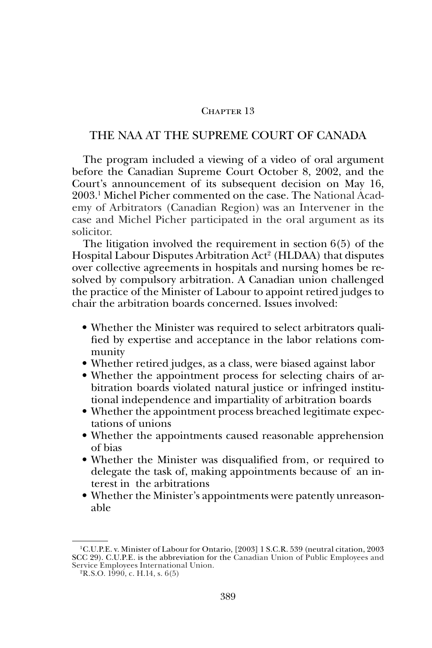# CHAPTER 13

# THE NAA AT THE SUPREME COURT OF CANADA

The program included a viewing of a video of oral argument before the Canadian Supreme Court October 8, 2002, and the Court's announcement of its subsequent decision on May 16, 2003.1 Michel Picher commented on the case. The National Academy of Arbitrators (Canadian Region) was an Intervener in the case and Michel Picher participated in the oral argument as its solicitor.

The litigation involved the requirement in section 6(5) of the Hospital Labour Disputes Arbitration Act<sup>2</sup> (HLDAA) that disputes over collective agreements in hospitals and nursing homes be resolved by compulsory arbitration. A Canadian union challenged the practice of the Minister of Labour to appoint retired judges to chair the arbitration boards concerned. Issues involved:

- Whether the Minister was required to select arbitrators qualified by expertise and acceptance in the labor relations community
- Whether retired judges, as a class, were biased against labor
- Whether the appointment process for selecting chairs of arbitration boards violated natural justice or infringed institutional independence and impartiality of arbitration boards
- Whether the appointment process breached legitimate expectations of unions
- Whether the appointments caused reasonable apprehension of bias
- Whether the Minister was disqualified from, or required to delegate the task of, making appointments because of an interest in the arbitrations
- Whether the Minister's appointments were patently unreasonable

<sup>1</sup> C.U.P.E. v. Minister of Labour for Ontario, [2003] 1 S.C.R. 539 (neutral citation, 2003 SCC 29). C.U.P.E. is the abbreviation for the Canadian Union of Public Employees and Service Employees International Union. 2R.S.O. 1990, c. H.14, s. 6(5)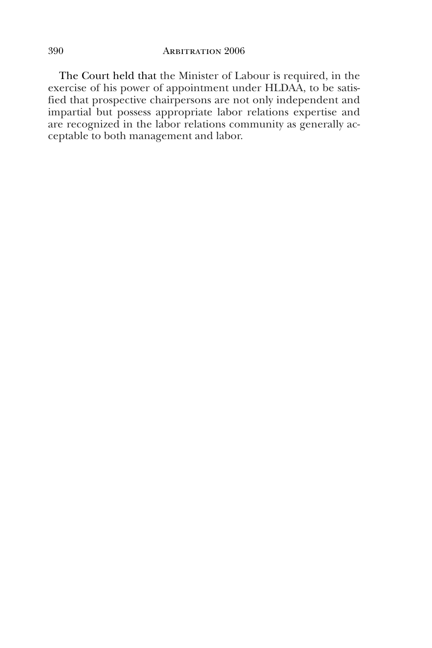The Court held that the Minister of Labour is required, in the exercise of his power of appointment under HLDAA, to be satisfied that prospective chairpersons are not only independent and impartial but possess appropriate labor relations expertise and are recognized in the labor relations community as generally acceptable to both management and labor.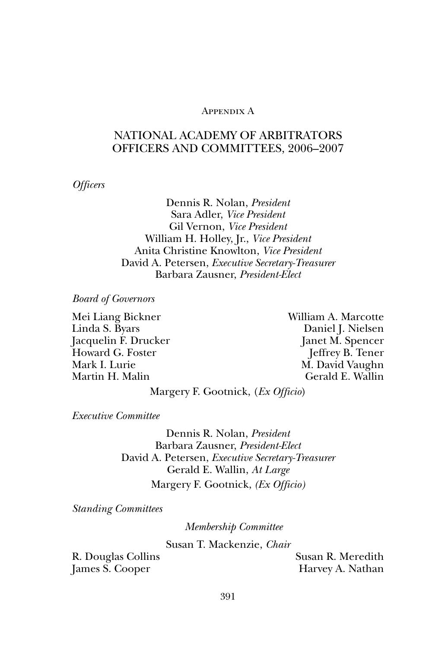# Appendix A

# NATIONAL ACADEMY OF ARBITRATORS OFFICERS AND COMMITTEES, 2006–2007

*Officers*

Dennis R. Nolan, *President* Sara Adler, *Vice President* Gil Vernon, *Vice President* William H. Holley, Jr., *Vice President* Anita Christine Knowlton, *Vice President* David A. Petersen, *Executive Secretary-Treasurer* Barbara Zausner, *President-Elect*

*Board of Governors*

Mei Liang Bickner William A. Marcotte Linda S. Byars Daniel J. Nielsen Jacquelin F. Drucker Janet M. Spencer Howard G. Foster **Jeffrey B. Tener** Mark I. Lurie M. David Vaughn Martin H. Malin Gerald E. Wallin

Margery F. Gootnick, (*Ex Officio*)

*Executive Committee*

Dennis R. Nolan, *President* Barbara Zausner, *President-Elect* David A. Petersen, *Executive Secretary-Treasurer* Gerald E. Wallin, *At Large* Margery F. Gootnick, *(Ex Officio)*

*Standing Committees*

*Membership Committee*

Susan T. Mackenzie, *Chair*

R. Douglas Collins Susan R. Meredith James S. Cooper Harvey A. Nathan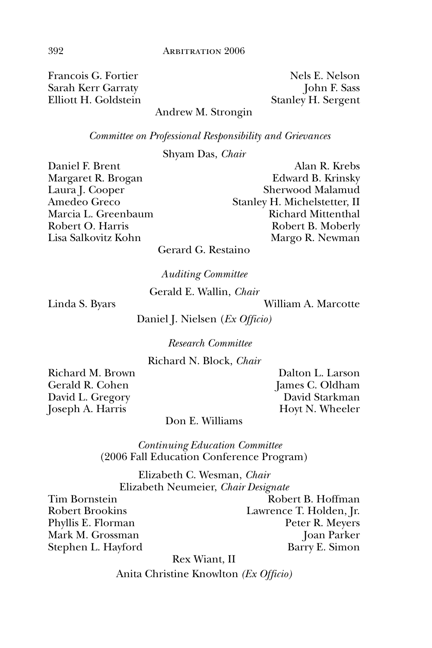Francois G. Fortier Nels E. Nelson Sarah Kerr Garraty **John F. Sass** Elliott H. Goldstein Stanley H. Sergent

# Andrew M. Strongin

*Committee on Professional Responsibility and Grievances*

Shyam Das, *Chair*

Daniel F. Brent Alan R. Krebs

Margaret R. Brogan Edward B. Krinsky Laura J. Cooper Sherwood Malamud Amedeo Greco Stanley H. Michelstetter, II Marcia L. Greenbaum Richard Mittenthal Robert O. Harris Robert B. Moberly Lisa Salkovitz Kohn Margo R. Newman

Gerard G. Restaino

*Auditing Committee*

Gerald E. Wallin, *Chair*

Linda S. Byars William A. Marcotte

Daniel J. Nielsen (*Ex Officio)*

*Research Committee*

Richard N. Block, *Chair*

Gerald R. Cohen James C. Oldham David L. Gregory David Starkman Joseph A. Harris Hoyt N. Wheeler

Richard M. Brown Dalton L. Larson

# Don E. Williams

*Continuing Education Committee* (2006 Fall Education Conference Program)

Elizabeth C. Wesman, *Chair* Elizabeth Neumeier, *Chair Designate*

Tim Bornstein **Robert B. Hoffman** Robert Brookins Lawrence T. Holden, Jr. Phyllis E. Florman Peter R. Meyers Mark M. Grossman Joan Parker Stephen L. Hayford Barry E. Simon

Rex Wiant, II

Anita Christine Knowlton *(Ex Officio)*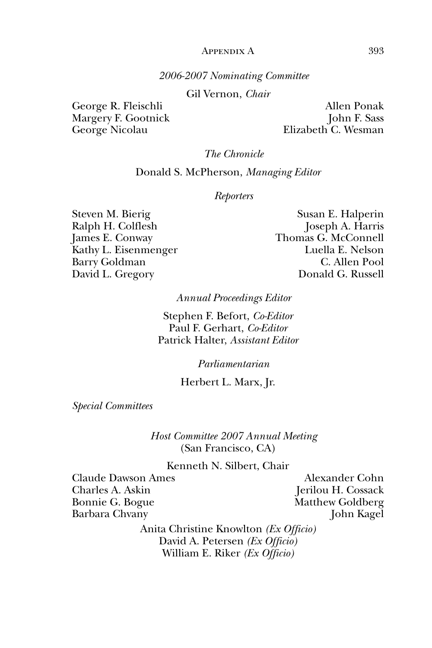## APPENDIX A 393

# *2006-2007 Nominating Committee*

Gil Vernon, *Chair*

George R. Fleischli Allen Ponak

Margery F. Gootnick John F. Sass George Nicolau Elizabeth C. Wesman

*The Chronicle*

Donald S. McPherson, *Managing Editor*

#### *Reporters*

Steven M. Bierig Susan E. Halperin Kathy L. Eisenmenger

Ralph H. Colflesh Joseph A. Harris James E. Conway Thomas G. McConnell Barry Goldman C. Allen Pool David L. Gregory **Donald G. Russell** 

*Annual Proceedings Editor*

Stephen F. Befort, *Co-Editor* Paul F. Gerhart, *Co-Editor* Patrick Halter, *Assistant Editor*

*Parliamentarian*

Herbert L. Marx, Jr.

*Special Committees*

*Host Committee 2007 Annual Meeting* (San Francisco, CA)

Kenneth N. Silbert, Chair

Claude Dawson Ames Alexander Cohn Charles A. Askin Jerilou H. Cossack Bonnie G. Bogue Matthew Goldberg Barbara Chvany John Kagel

Anita Christine Knowlton *(Ex Officio)* David A. Petersen *(Ex Officio)* William E. Riker *(Ex Officio)*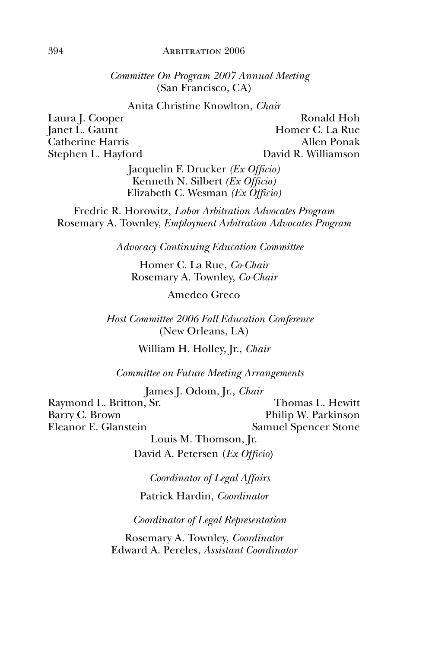## 394 **ARBITRATION 2006**

*Committee On Program 2007 Annual Meeting* (San Francisco, CA)

Anita Christine Knowlton, *Chair*

Laura J. Cooper Ronald Hoh Janet L. Gaunt **Homes** G. La Rue Catherine Harris Allen Ponak Stephen L. Hayford David R. Williamson

> Jacquelin F. Drucker *(Ex Officio)* Kenneth N. Silbert *(Ex Officio)* Elizabeth C. Wesman *(Ex Officio)*

Fredric R. Horowitz, *Labor Arbitration Advocates Program* Rosemary A. Townley, *Employment Arbitration Advocates Program*

*Advocacy Continuing Education Committee*

Homer C. La Rue, *Co-Chair* Rosemary A. Townley, *Co-Chair*

Amedeo Greco

*Host Committee 2006 Fall Education Conference* (New Orleans, LA)

William H. Holley, Jr., *Chair*

*Committee on Future Meeting Arrangements*

James J. Odom, Jr., *Chair* Raymond L. Britton, Sr. Thomas L. Hewitt Barry C. Brown Philip W. Parkinson Eleanor E. Glanstein Samuel Spencer Stone Louis M. Thomson, Jr.

David A. Petersen (*Ex Officio*)

*Coordinator of Legal Affairs* Patrick Hardin, *Coordinator*

*Coordinator of Legal Representation*

Rosemary A. Townley, *Coordinator* Edward A. Pereles, *Assistant Coordinator*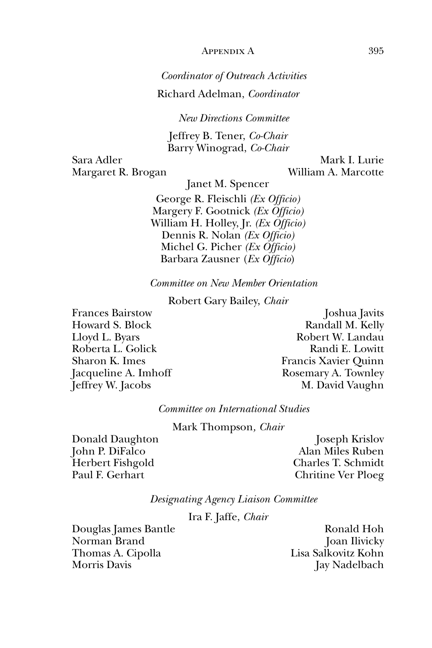# APPENDIX A 395

# *Coordinator of Outreach Activities*

Richard Adelman, *Coordinator*

*New Directions Committee*

Jeffrey B. Tener, *Co-Chair* Barry Winograd, *Co-Chair*

Sara Adler Mark I. Lurie Margaret R. Brogan William A. Marcotte

Janet M. Spencer

George R. Fleischli *(Ex Officio)* Margery F. Gootnick *(Ex Officio)* William H. Holley, Jr. *(Ex Officio)* Dennis R. Nolan *(Ex Officio)* Michel G. Picher *(Ex Officio)* Barbara Zausner (*Ex Officio*)

*Committee on New Member Orientation*

Robert Gary Bailey, *Chair*

Frances Bairstow Joshua Javits

Howard S. Block Randall M. Kelly Lloyd L. Byars Robert W. Landau Roberta L. Golick and E. Lowitt Sharon K. Imes Francis Xavier Quinn Jacqueline A. Imhoff Rosemary A. Townley Jeffrey W. Jacobs M. David Vaughn

*Committee on International Studies*

Mark Thompson*, Chair* 

Donald Daughton Joseph Krislov John P. DiFalco Alan Miles Ruben Herbert Fishgold Charles T. Schmidt Paul F. Gerhart Chritine Ver Ploeg

*Designating Agency Liaison Committee*

Ira F. Jaffe, *Chair*

Douglas James Bantle Ronald Hoh Norman Brand Joan Ilivicky Thomas A. Cipolla Lisa Salkovitz Kohn Morris Davis Jay Nadelbach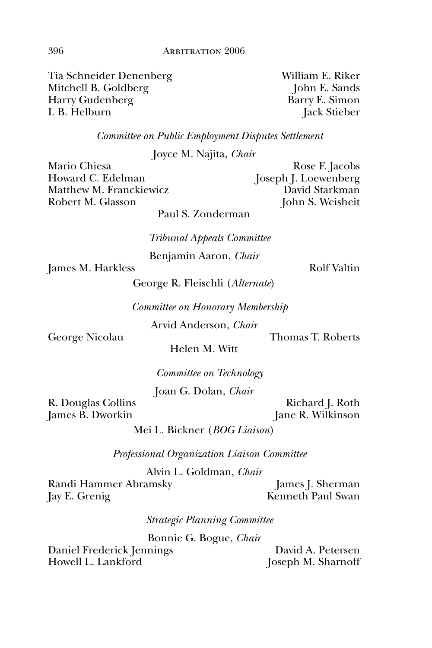Tia Schneider Denenberg William E. Riker Mitchell B. Goldberg John E. Sands Harry Gudenberg Barry E. Simon I. B. Helburn Jack Stieber

*Committee on Public Employment Disputes Settlement*

Joyce M. Najita, *Chair*

Howard C. Edelman Joseph J. Loewenberg Matthew M. Franckiewicz David Starkman Robert M. Glasson John S. Weisheit

Mario Chiesa Rose F. Jacobs

Paul S. Zonderman

*Tribunal Appeals Committee*

Benjamin Aaron, *Chair*

James M. Harkless Rolf Valtin

George R. Fleischli (*Alternate*)

*Committee on Honorary Membership*

Arvid Anderson, *Chair*

George Nicolau Thomas T. Roberts

Helen M. Witt

*Committee on Technology*

Joan G. Dolan, *Chair*

R. Douglas Collins Richard J. Roth James B. Dworkin Jane R. Wilkinson

Mei L. Bickner (*BOG Liaison*)

*Professional Organization Liaison Committee*

Alvin L. Goldman, *Chair*

Randi Hammer Abramsky James J. Sherman Jay E. Grenig Kenneth Paul Swan

*Strategic Planning Committee*

Bonnie G. Bogue, *Chair*

Daniel Frederick Jennings David A. Petersen Howell L. Lankford Joseph M. Sharnoff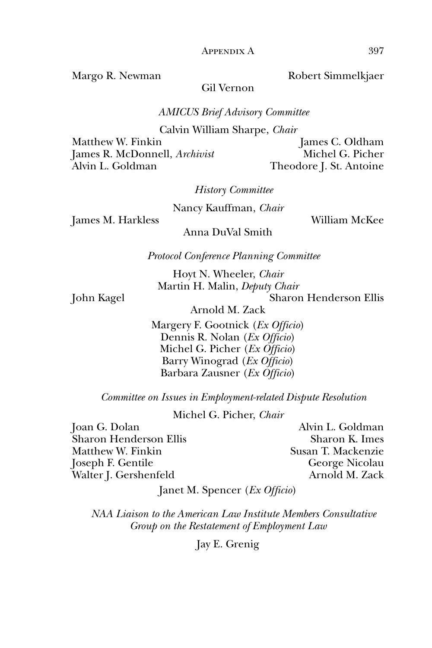Margo R. Newman Robert Simmelkjaer

Gil Vernon

*AMICUS Brief Advisory Committee*

Calvin William Sharpe, *Chair*

Matthew W. Finkin James C. Oldham James R. McDonnell, *Archivist* Michel G. Picher Alvin L. Goldman Theodore J. St. Antoine

*History Committee*

Nancy Kauffman, *Chair*

James M. Harkless William McKee

Anna DuVal Smith

*Protocol Conference Planning Committee*

Hoyt N. Wheeler, *Chair* Martin H. Malin, *Deputy Chair*

John Kagel Sharon Henderson Ellis

Arnold M. Zack

Margery F. Gootnick (*Ex Officio*) Dennis R. Nolan (*Ex Officio*) Michel G. Picher (*Ex Officio*) Barry Winograd (*Ex Officio*) Barbara Zausner (*Ex Officio*)

*Committee on Issues in Employment-related Dispute Resolution*

Michel G. Picher, *Chair*

Joan G. Dolan Alvin L. Goldman Sharon Henderson Ellis Sharon K. Imes Matthew W. Finkin Susan T. Mackenzie Joseph F. Gentile George Nicolau Walter J. Gershenfeld Arnold M. Zack

Janet M. Spencer (*Ex Officio*)

*NAA Liaison to the American Law Institute Members Consultative Group on the Restatement of Employment Law*

Jay E. Grenig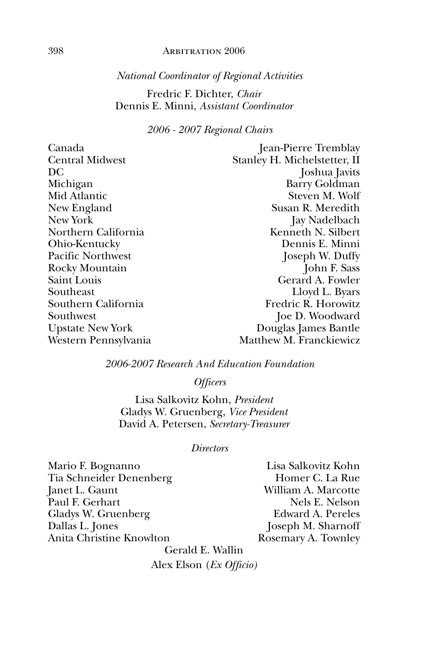# 398 Arbitration 2006

# *National Coordinator of Regional Activities*

# Fredric F. Dichter, *Chair* Dennis E. Minni, *Assistant Coordinator*

# *2006 - 2007 Regional Chairs*

| Canada                  | Jean-Pierre Tremblay         |
|-------------------------|------------------------------|
| <b>Central Midwest</b>  | Stanley H. Michelstetter, II |
| DC                      | Joshua Javits                |
| Michigan                | Barry Goldman                |
| Mid Atlantic            | Steven M. Wolf               |
| New England             | Susan R. Meredith            |
| New York                | Jay Nadelbach                |
| Northern California     | Kenneth N. Silbert           |
| Ohio-Kentucky           | Dennis E. Minni              |
| Pacific Northwest       | Joseph W. Duffy              |
| Rocky Mountain          | John F. Sass                 |
| Saint Louis             | Gerard A. Fowler             |
| Southeast               | Lloyd L. Byars               |
| Southern California     | Fredric R. Horowitz          |
| Southwest               | Joe D. Woodward              |
| <b>Upstate New York</b> | Douglas James Bantle         |
| Western Pennsylvania    | Matthew M. Franckiewicz      |

# *2006-2007 Research And Education Foundation*

*Officers*

Lisa Salkovitz Kohn, *President* Gladys W. Gruenberg, *Vice President* David A. Petersen, *Secretary-Treasurer*

# *Directors*

Mario F. Bognanno Lisa Salkovitz Kohn Tia Schneider Denenberg Homer C. La Rue Janet L. Gaunt William A. Marcotte Paul F. Gerhart Nels E. Nelson<br>Gladys W. Gruenberg (Edward A. Pereles Gladys W. Gruenberg<br>Dallas L. Jones Anita Christine Knowlton Rosemary A. Townley

Joseph M. Sharnoff

Gerald E. Wallin Alex Elson (*Ex Officio)*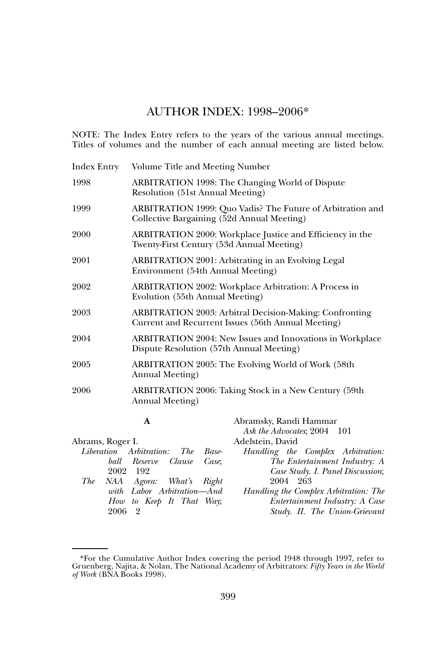# AUTHOR INDEX: 1998–2006\*

NOTE: The Index Entry refers to the years of the various annual meetings. Titles of volumes and the number of each annual meeting are listed below.

| <b>Index Entry</b> | Volume Title and Meeting Number                |                                                                                                                      |  |  |
|--------------------|------------------------------------------------|----------------------------------------------------------------------------------------------------------------------|--|--|
| 1998               |                                                | ARBITRATION 1998: The Changing World of Dispute<br>Resolution (51st Annual Meeting)                                  |  |  |
| 1999               |                                                | ARBITRATION 1999: Quo Vadis? The Future of Arbitration and<br>Collective Bargaining (52d Annual Meeting)             |  |  |
| 2000               |                                                | ARBITRATION 2000: Workplace Justice and Efficiency in the<br>Twenty-First Century (53d Annual Meeting)               |  |  |
| 2001               |                                                | ARBITRATION 2001: Arbitrating in an Evolving Legal<br>Environment (54th Annual Meeting)                              |  |  |
| 2002               | Evolution (55th Annual Meeting)                | <b>ARBITRATION 2002: Workplace Arbitration: A Process in</b>                                                         |  |  |
| 2003               |                                                | <b>ARBITRATION 2003: Arbitral Decision-Making: Confronting</b><br>Current and Recurrent Issues (56th Annual Meeting) |  |  |
| 2004               | Dispute Resolution (57th Annual Meeting)       | ARBITRATION 2004: New Issues and Innovations in Workplace                                                            |  |  |
| 2005               | Annual Meeting)                                | ARBITRATION 2005: The Evolving World of Work (58th                                                                   |  |  |
| 2006               | Annual Meeting)                                | ARBITRATION 2006: Taking Stock in a New Century (59th                                                                |  |  |
|                    | A                                              | Abramsky, Randi Hammar<br>Ask the Advocates; 2004 101                                                                |  |  |
| Abrams, Roger I.   |                                                | Adelstein, David                                                                                                     |  |  |
|                    | Liberation Arbitration:<br><i>The</i><br>Base- | Handling the Complex Arbitration:                                                                                    |  |  |
|                    | ball Reserve<br>Clause<br>Case.                | The Entertainment Industry: A                                                                                        |  |  |
|                    | 2002 192                                       | Case Study. I. Panel Discussion;                                                                                     |  |  |
| The                | NAA Agora: What's<br>Right                     | 2004 263                                                                                                             |  |  |
|                    | with Labor Arbitration-And                     | Handling the Complex Arbitration: The                                                                                |  |  |
|                    | How to Keep It That<br>Way:                    | Entertainment Industry: A Case                                                                                       |  |  |

*Study. II. The Union-Grievant* 

2006 2

<sup>\*</sup>For the Cumulative Author Index covering the period 1948 through 1997, refer to Gruenberg, Najita, & Nolan, The National Academy of Arbitrators: *Fifty Years in the World of Work* (BNA Books 1998).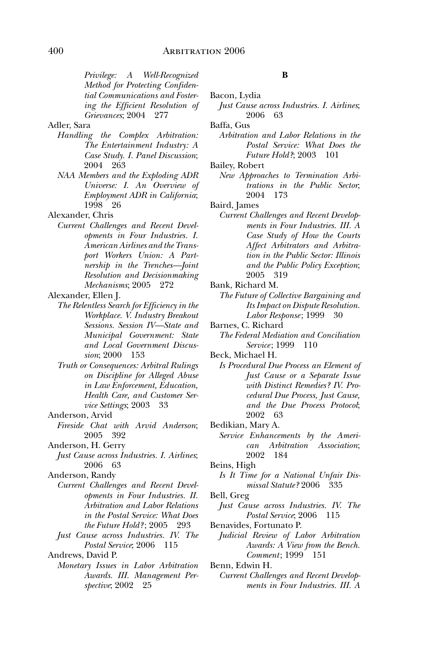*Privilege: A Well-Recognized Method for Protecting Confidential Communications and Fostering the Efficient Resolution of Grievances*; 2004 277

## Adler, Sara

- *Handling the Complex Arbitration: The Entertainment Industry: A Case Study. I. Panel Discussion*; 2004 263
- *NAA Members and the Exploding ADR Universe: I. An Overview of Employment ADR in California*; 1998 26

Alexander, Chris

*Current Challenges and Recent Developments in Four Industries. I. American Airlines and the Transport Workers Union: A Partnership in the Trenches—Joint Resolution and Decisionmaking Mechanisms*; 2005 272

Alexander, Ellen J.

- *The Relentless Search for Efficiency in the Workplace. V. Industry Breakout Sessions. Session IV—State and Municipal Government: State and Local Government Discussion*; 2000
	- *Truth or Consequences: Arbitral Rulings on Discipline for Alleged Abuse in Law Enforcement, Education, Health Care, and Customer Service Settings*; 2003 33

Anderson, Arvid

- *Fireside Chat with Arvid Anderson*; 2005 392
- Anderson, H. Gerry
- *Just Cause across Industries. I. Airlines*; 2006 63

- *Current Challenges and Recent Developments in Four Industries. II. Arbitration and Labor Relations in the Postal Service: What Does the Future Hold?* ; 2005 293
- *Just Cause across Industries. IV. The Postal Service*; 2006 115

Andrews, David P.

*Monetary Issues in Labor Arbitration Awards. III. Management Perspective*; 2002 25

#### **B**

| Bacon, Lydia |  |
|--------------|--|
|              |  |
|              |  |

*Just Cause across Industries. I. Airlines*; 2006 63

Baffa, Gus

*Arbitration and Labor Relations in the Postal Service: What Does the Future Hold?*; 2003 101

Bailey, Robert

*New Approaches to Termination Arbitrations in the Public Sector*; 2004 173

Baird, James

- *Current Challenges and Recent Developments in Four Industries. III. A Case Study of How the Courts Affect Arbitrators and Arbitration in the Public Sector: Illinois and the Public Policy Exception*; 2005 319
- Bank, Richard M.
- *The Future of Collective Bargaining and Its Impact on Dispute Resolution. Labor Response* ; 1999 30
- Barnes, C. Richard
	- *The Federal Mediation and Conciliation Service*: 1999 110
- Beck, Michael H.
	- *Is Procedural Due Process an Element of Just Cause or a Separate Issue with Distinct Remedies? IV. Procedural Due Process, Just Cause, and the Due Process Protocol*; 2002 63
- Bedikian, Mary A.
	- *Service Enhancements by the American Arbitration Association*; 2002 184

Beins, High

*Is It Time for a National Unfair Dismissal Statute?* 2006 335

Bell, Greg

- *Just Cause across Industries. IV. The Postal Service*; 2006 115
- Benavides, Fortunato P.

*Judicial Review of Labor Arbitration Awards: A View from the Bench. Comment*: 1999 151

Benn, Edwin H.

*Current Challenges and Recent Developments in Four Industries. III. A* 

Anderson, Randy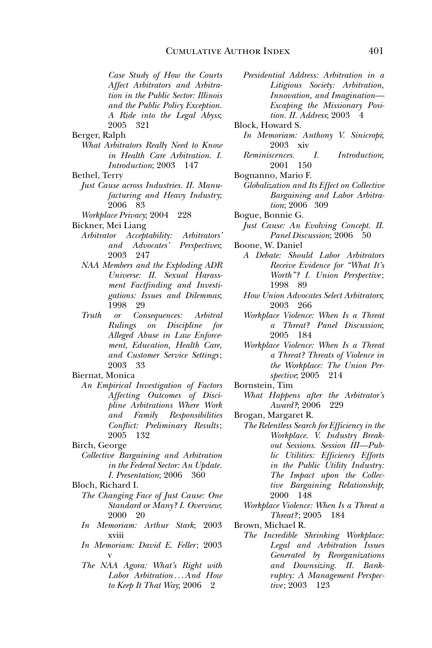*Case Study of How the Courts Affect Arbitrators and Arbitration in the Public Sector: Illinois and the Public Policy Exception. A Ride into the Legal Abyss*; 2005 321

Berger, Ralph

- *What Arbitrators Really Need to Know in Health Care Arbitration. I. Introduction*; 2003 147
- Bethel, Terry
- *Just Cause across Industries. II. Manufacturing and Heavy Industry*; 2006 83

*Workplace Privacy*; 2004 228

Bickner, Mei Liang

- *Arbitrator Acceptability: Arbitrators' and Advocates' Perspectives*; 2003 247
- *NAA Members and the Exploding ADR Universe: II. Sexual Harassment Factfinding and Investigations: Issues and Dilemmas*; 1998 29
- *Truth or Consequences: Arbitral Rulings on Discipline for Alleged Abuse in Law Enforcement, Education, Health Care, and Customer Service Settings* ; 2003 33

Biernat, Monica

*An Empirical Investigation of Factors Affecting Outcomes of Discipline Arbitrations Where Work and Family Responsibilities Conflict: Preliminary Results* ; 2005 132

Birch, George

- *Collective Bargaining and Arbitration in the Federal Sector: An Update. I. Presentation*; 2006 360
- Bloch, Richard I.
	- *The Changing Face of Just Cause: One Standard or Many? I. Overview*; 2000 20
	- *In Memoriam: Arthur Stark*; 2003 xviii
	- *In Memoriam: David E. Feller*; 2003 v
	- *The NAA Agora: What's Right with Labor Arbitration . . . And How to Keep It That Way*; 2006 2

*Presidential Address: Arbitration in a Litigious Society: Arbitration, Innovation, and Imagination— Escaping the Missionary Position. II. Address*; 2003 4

Block, Howard S.

- *In Memoriam: Anthony V. Sinicropi*; 2003 xiv
- *Reminiscences. I. Introduction*; 2001 150
- Bognanno, Mario F.
	- *Globalization and Its Effect on Collective Bargaining and Labor Arbitration*; 2006 309
- Bogue, Bonnie G. *Just Cause: An Evolving Concept. II.*

*Panel Discussion*; 2006 50

- Boone, W. Daniel
	- *A Debate: Should Labor Arbitrators Receive Evidence for "What It's Worth"? I. Union Perspective* ; 1998 89
	- *How Union Advocates Select Arbitrators*; 2003 266
	- *Workplace Violence: When Is a Threat a Threat? Panel Discussion*; 2005 184
	- *Workplace Violence: When Is a Threat a Threat? Threats of Violence in the Workplace: The Union Perspective*; 2005 214
- Bornstein, Tim
- *What Happens after the Arbitrator's Award?*; 2006 229
- Brogan, Margaret R.
- *The Relentless Search for Efficiency in the Workplace. V. Industry Breakout Sessions. Session III—Public Utilities: Efficiency Efforts in the Public Utility Industry: The Impact upon the Collective Bargaining Relationship*; 2000 148
- *Workplace Violence: When Is a Threat a Threat?* ; 2005 184
- Brown, Michael R.
	- *The Incredible Shrinking Workplace: Legal and Arbitration Issues Generated by Reorganizations and Downsizing. II. Bankruptcy: A Management Perspective* ; 2003 123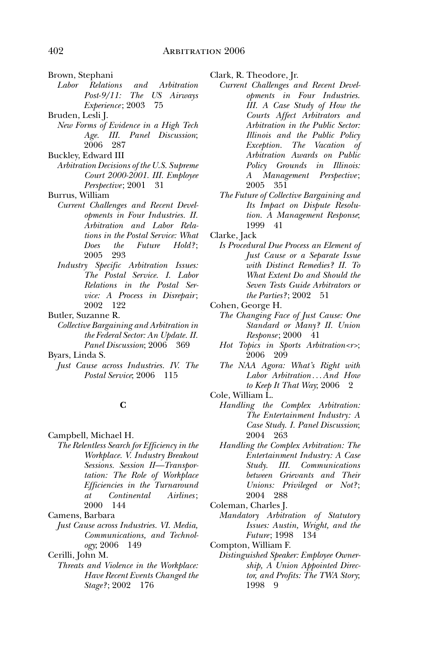- Brown, Stephani<br>Labor Relations
- *Labor Relations and Arbitration Post-9/11: The US Airways Experience* ; 2003 75
- Bruden, Lesli J.
	- *New Forms of Evidence in a High Tech Age. III. Panel Discussion*; 2006 287
- Buckley, Edward III
- *Arbitration Decisions of the U.S. Supreme Court 2000-2001. III. Employee Perspective* ; 2001 31
- Burrus, William
	- *Current Challenges and Recent Developments in Four Industries. II. Arbitration and Labor Relations in the Postal Service: What Does the Future Hold?* ; 2005 293
	- *Industry Specific Arbitration Issues: The Postal Service. I. Labor Relations in the Postal Service: A Process in Disrepair* ; 2002 122

Butler, Suzanne R.

*Collective Bargaining and Arbitration in the Federal Sector: An Update. II. Panel Discussion*; 2006 369

Byars, Linda S.

*Just Cause across Industries. IV. The Postal Service*; 2006 115

# **C**

Campbell, Michael H.

*The Relentless Search for Efficiency in the Workplace. V. Industry Breakout Sessions. Session II—Transportation: The Role of Workplace Efficiencies in the Turnaround at Continental Airlines* ; 2000 144

Camens, Barbara

*Just Cause across Industries. VI. Media, Communications, and Technology*; 2006 149

Cerilli, John M.

*Threats and Violence in the Workplace: Have Recent Events Changed the Stage?* ; 2002 176

Clark, R. Theodore, Jr.

- *Current Challenges and Recent Developments in Four Industries. III. A Case Study of How the Courts Affect Arbitrators and Arbitration in the Public Sector: Illinois and the Public Policy Exception. The Vacation of Arbitration Awards on Public Policy Grounds in Illinois: A Management Perspective* ; 2005 351
- *The Future of Collective Bargaining and Its Impact on Dispute Resolution. A Management Response*; 1999 41

Clarke, Jack

*Is Procedural Due Process an Element of Just Cause or a Separate Issue with Distinct Remedies? II. To What Extent Do and Should the Seven Tests Guide Arbitrators or the Parties?*; 2002 51

Cohen, George H.

- *The Changing Face of Just Cause: One Standard or Many? II. Union Response* ; 2000 41
- *Hot Topics in Sports Arbitration<r>*; 2006 209
- *The NAA Agora: What's Right with Labor Arbitration . . . And How to Keep It That Way*; 2006 2
- Cole, William L.
	- *Handling the Complex Arbitration: The Entertainment Industry: A Case Study. I. Panel Discussion*; 2004 263
	- *Handling the Complex Arbitration: The Entertainment Industry: A Case Study. III. Communications between Grievants and Their Unions: Privileged or Not?* ; 2004 288
- Coleman, Charles J.
	- *Mandatory Arbitration of Statutory Issues: Austin, Wright, and the Future*; 1998 134
- Compton, William F.
	- *Distinguished Speaker: Employee Ownership, A Union Appointed Director, and Profits: The TWA Story*; 1998 9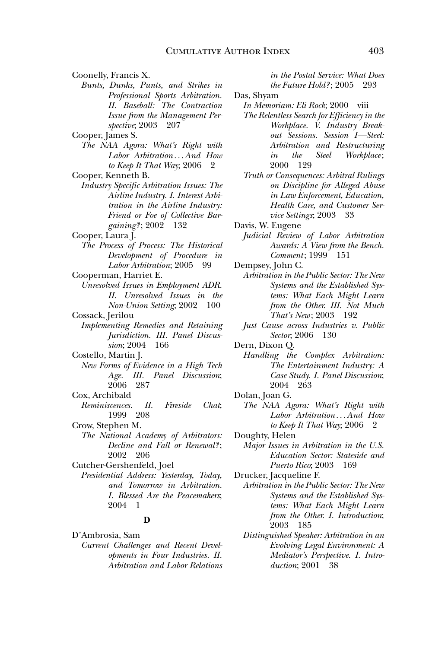Coonelly, Francis X. *Bunts, Dunks, Punts, and Strikes in Professional Sports Arbitration. II. Baseball: The Contraction Issue from the Management Perspective*; 2003 207 Cooper, James S.

- *The NAA Agora: What's Right with Labor Arbitration . . . And How to Keep It That Way*; 2006 2
- Cooper, Kenneth B.
- *Industry Specific Arbitration Issues: The Airline Industry. I. Interest Arbitration in the Airline Industry: Friend or Foe of Collective Bargaining?* ; 2002 132
- Cooper, Laura J.
- *The Process of Process: The Historical Development of Procedure in Labor Arbitration*; 2005 99
- Cooperman, Harriet E. *Unresolved Issues in Employment ADR. II. Unresolved Issues in the Non-Union Setting*; 2002 100
- Cossack, Jerilou *Implementing Remedies and Retaining Jurisdiction. III. Panel Discussion*; 2004 166
- Costello, Martin J. *New Forms of Evidence in a High Tech Age. III. Panel Discussion*; 2006 287
- Cox, Archibald *Reminiscences. II. Fireside Chat*;
- 1999 208 Crow, Stephen M. *The National Academy of Arbitrators: Decline and Fall or Renewal?* ; 2002 206
- Cutcher-Gershenfeld, Joel *Presidential Address: Yesterday, Today, and Tomorrow in Arbitration. I. Blessed Are the Peacemakers*; 2004 1

#### **D**

D'Ambrosia, Sam *Current Challenges and Recent Developments in Four Industries. II. Arbitration and Labor Relations*  *in the Postal Service: What Does the Future Hold?* ; 2005 293

Das, Shyam

*In Memoriam: Eli Rock*; 2000 viii

- *The Relentless Search for Efficiency in the Workplace. V. Industry Breakout Sessions. Session I—Steel: Arbitration and Restructuring in the Steel Workplace* ; 2000 129
- *Truth or Consequences: Arbitral Rulings on Discipline for Alleged Abuse in Law Enforcement, Education, Health Care, and Customer Service Settings*; 2003 33
- Davis, W. Eugene
	- *Judicial Review of Labor Arbitration Awards: A View from the Bench. Comment* ; 1999 151
- Dempsey, John C.
	- *Arbitration in the Public Sector: The New Systems and the Established Systems: What Each Might Learn from the Other. III. Not Much That's New* ; 2003 192
	- *Just Cause across Industries v. Public Sector*; 2006 130
- Dern, Dixon Q.
	- *Handling the Complex Arbitration: The Entertainment Industry: A Case Study. I. Panel Discussion*; 2004 263
- Dolan, Joan G.
	- *The NAA Agora: What's Right with Labor Arbitration . . . And How to Keep It That Way*; 2006 2
- Doughty, Helen
- *Major Issues in Arbitration in the U.S. Education Sector: Stateside and Puerto Rico*; 2003 169
- Drucker, Jacqueline F.
	- *Arbitration in the Public Sector: The New Systems and the Established Systems: What Each Might Learn from the Other. I. Introduction*; 2003 185
	- *Distinguished Speaker: Arbitration in an Evolving Legal Environment: A Mediator's Perspective. I. Introduction*; 2001 38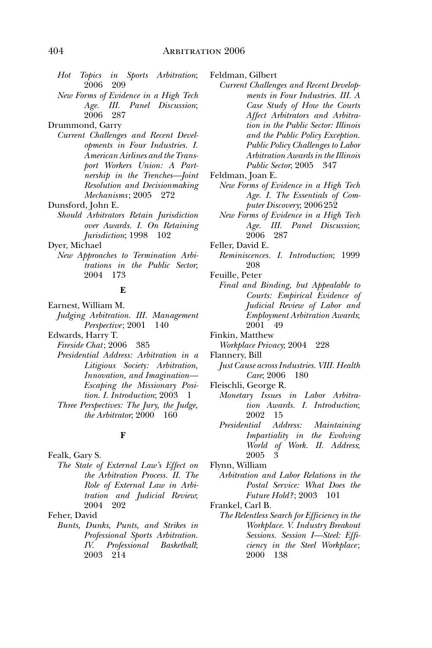- *Hot Topics in Sports Arbitration*; 2006 209
- *New Forms of Evidence in a High Tech Age. III. Panel Discussion*; 2006 287

Drummond, Garry

*Current Challenges and Recent Developments in Four Industries. I. American Airlines and the Transport Workers Union: A Partnership in the Trenches—Joint Resolution and Decisionmaking Mechanisms* ; 2005 272

Dunsford, John E.

*Should Arbitrators Retain Jurisdiction over Awards. I. On Retaining Jurisdiction*; 1998 102

Dyer, Michael

*New Approaches to Termination Arbitrations in the Public Sector*; 2004 173

#### **E**

Earnest, William M. *Judging Arbitration. III. Management Perspective*; 2001 140

Edwards, Harry T.

*Fireside Chat* ; 2006 385

- *Presidential Address: Arbitration in a Litigious Society: Arbitration, Innovation, and Imagination— Escaping the Missionary Position. I. Introduction*; 2003 1 *Three Perspectives: The Jury, the Judge,*
- *the Arbitrator*; 2000 160

#### **F**

Fealk, Gary S.

*The State of External Law's Effect on the Arbitration Process. II. The Role of External Law in Arbitration and Judicial Review*; 2004 202

Feher, David

*Bunts, Dunks, Punts, and Strikes in Professional Sports Arbitration. IV. Professional Basketball*; 2003 214

Feldman, Gilbert

- *Current Challenges and Recent Developments in Four Industries. III. A Case Study of How the Courts Affect Arbitrators and Arbitration in the Public Sector: Illinois and the Public Policy Exception. Public Policy Challenges to Labor Arbitration Awards in the Illinois Public Sector*; 2005 347
- Feldman, Joan E.
- *New Forms of Evidence in a High Tech Age. I. The Essentials of Computer Discovery*; 2006 252
- *New Forms of Evidence in a High Tech Age. III. Panel Discussion*; 2006 287
- Feller, David E.
	- *Reminiscences. I. Introduction*; 1999 208

Feuille, Peter

- *Final and Binding, but Appealable to Courts: Empirical Evidence of Judicial Review of Labor and Employment Arbitration Awards*; 2001 49
- Finkin, Matthew

*Workplace Privacy*; 2004 228

- Flannery, Bill
- *Just Cause across Industries. VIII. Health Care*; 2006 180
- Fleischli, George R.
	- *Monetary Issues in Labor Arbitration Awards. I. Introduction*; 2002 15
	- *Presidential Address: Maintaining Impartiality in the Evolving World of Work. II. Address*; 2005 3

Flynn, William

*Arbitration and Labor Relations in the Postal Service: What Does the Future Hold?* ; 2003 101

Frankel, Carl B.

*The Relentless Search for Efficiency in the Workplace. V. Industry Breakout Sessions. Session I—Steel: Efficiency in the Steel Workplace* ; 2000 138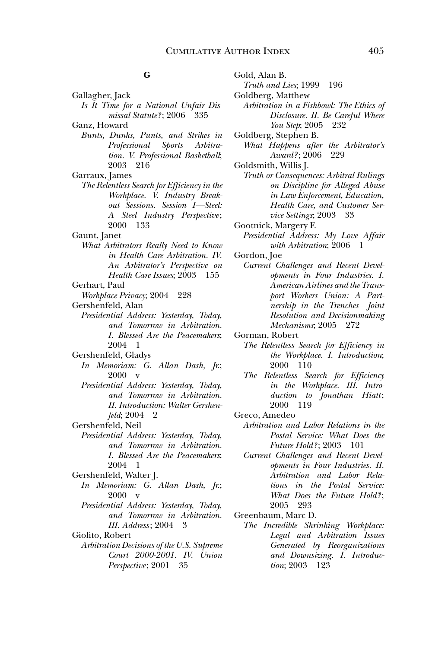Gold, Alan B.

*Truth and Lies*; 1999 196

## **G**

- Gallagher, Jack *Is It Time for a National Unfair Dismissal Statute?* ; 2006 335 Ganz, Howard
	- *Bunts, Dunks, Punts, and Strikes in Professional Sports Arbitration. V. Professional Basketball*; 2003 216
- Garraux, James
- *The Relentless Search for Efficiency in the Workplace. V. Industry Breakout Sessions. Session I—Steel: A Steel Industry Perspective* ; 2000 133

Gaunt, Janet

- *What Arbitrators Really Need to Know in Health Care Arbitration. IV. An Arbitrator's Perspective on Health Care Issues*; 2003 155
- Gerhart, Paul

*Workplace Privacy*; 2004 228

- Gershenfeld, Alan
- *Presidential Address: Yesterday, Today, and Tomorrow in Arbitration. I. Blessed Are the Peacemakers*; 2004 1
- Gershenfeld, Gladys
	- *In Memoriam: G. Allan Dash, Jr.*; 2000 v
	- *Presidential Address: Yesterday, Today, and Tomorrow in Arbitration. II. Introduction: Walter Gershenfeld*; 2004 2
- Gershenfeld, Neil
	- *Presidential Address: Yesterday, Today, and Tomorrow in Arbitration. I. Blessed Are the Peacemakers*; 2004 1
- Gershenfeld, Walter J. *In Memoriam: G. Allan Dash, Jr.*; 2000 v
	- *Presidential Address: Yesterday, Today, and Tomorrow in Arbitration. III. Address* ; 2004 3

Giolito, Robert

*Arbitration Decisions of the U.S. Supreme Court 2000-2001. IV. Union Perspective* ; 2001 35

Goldberg, Matthew *Arbitration in a Fishbowl: The Ethics of Disclosure. II. Be Careful Where You Step*; 2005 232 Goldberg, Stephen B. *What Happens after the Arbitrator's Award?* ; 2006 229 Goldsmith, Willis J. *Truth or Consequences: Arbitral Rulings on Discipline for Alleged Abuse in Law Enforcement, Education, Health Care, and Customer Service Settings*; 2003 33 Gootnick, Margery F. *Presidential Address: My Love Affair with Arbitration*; 2006 1 Gordon, Joe *Current Challenges and Recent Developments in Four Industries. I. American Airlines and the Transport Workers Union: A Partnership in the Trenches—Joint* 

*Resolution and Decisionmaking Mechanisms*; 2005 272

Gorman, Robert

- *The Relentless Search for Efficiency in the Workplace. I. Introduction*; 2000 110
- *The Relentless Search for Efficiency in the Workplace. III. Introduction to Jonathan Hiatt* ; 2000 119
- Greco, Amedeo
	- *Arbitration and Labor Relations in the Postal Service: What Does the Future Hold?* ; 2003 101
	- *Current Challenges and Recent Developments in Four Industries. II. Arbitration and Labor Relations in the Postal Service: What Does the Future Hold?* ; 2005 293
- Greenbaum, Marc D.
	- *The Incredible Shrinking Workplace: Legal and Arbitration Issues Generated by Reorganizations and Downsizing. I. Introduction*; 2003 123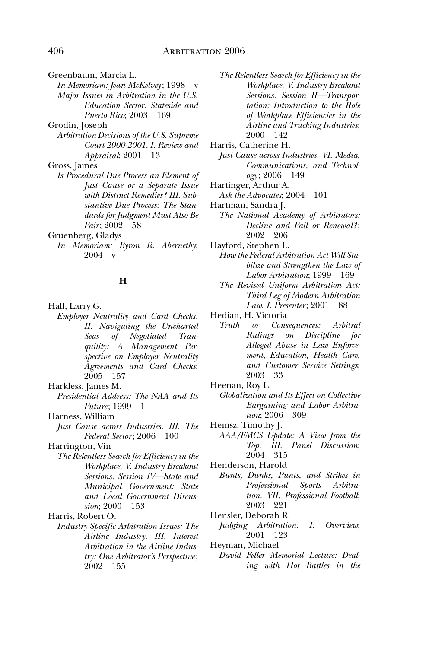Greenbaum, Marcia L.

*In Memoriam: Jean McKelvey* ; 1998 v *Major Issues in Arbitration in the U.S. Education Sector: Stateside and Puerto Rico*; 2003 169

Grodin, Joseph

*Arbitration Decisions of the U.S. Supreme Court 2000-2001. I. Review and Appraisal*; 2001 13

Gross, James

*Is Procedural Due Process an Element of Just Cause or a Separate Issue with Distinct Remedies? III. Substantive Due Process: The Standards for Judgment Must Also Be Fair* ; 2002 58

Gruenberg, Gladys

*In Memoriam: Byron R. Abernethy*; 2004 v

#### **H**

- Hall, Larry G.
	- *Employer Neutrality and Card Checks. II. Navigating the Uncharted Seas of Negotiated Tranquility: A Management Perspective on Employer Neutrality Agreements and Card Checks*; 2005 157

Harkless, James M.

*Presidential Address: The NAA and Its Future*: 1999 1

Harness, William

*Just Cause across Industries. III. The Federal Sector* ; 2006 100

Harrington, Vin

*The Relentless Search for Efficiency in the Workplace. V. Industry Breakout Sessions. Session IV—State and Municipal Government: State and Local Government Discussion*; 2000 153

Harris, Robert O.

*Industry Specific Arbitration Issues: The Airline Industry. III. Interest Arbitration in the Airline Industry: One Arbitrator's Perspective* ; 2002 155

- *The Relentless Search for Efficiency in the Workplace. V. Industry Breakout Sessions. Session II—Transportation: Introduction to the Role of Workplace Efficiencies in the Airline and Trucking Industries*; 2000 142
- Harris, Catherine H.
	- *Just Cause across Industries. VI. Media, Communications, and Technology* ; 2006 149
- Hartinger, Arthur A.
- *Ask the Advocates*; 2004 101
- Hartman, Sandra J.
	- *The National Academy of Arbitrators: Decline and Fall or Renewal?* ; 2002 206
- Hayford, Stephen L.
	- *How the Federal Arbitration Act Will Stabilize and Strengthen the Law of Labor Arbitration*; 1999 169
	- *The Revised Uniform Arbitration Act: Third Leg of Modern Arbitration Law. I. Presenter* ; 2001 88

Hedian, H. Victoria

- *Truth or Consequences: Arbitral Rulings on Discipline for Alleged Abuse in Law Enforcement, Education, Health Care, and Customer Service Settings*; 2003 33
- Heenan, Roy L.
	- *Globalization and Its Effect on Collective Bargaining and Labor Arbitration*; 2006 309
- Heinsz, Timothy J.
	- *AAA/FMCS Update: A View from the Top. III. Panel Discussion*; 2004 315
- Henderson, Harold
	- *Bunts, Dunks, Punts, and Strikes in Professional Sports Arbitration. VII. Professional Football*; 2003 221
- Hensler, Deborah R.
	- *Judging Arbitration. I. Overview*; 2001 123
- Heyman, Michael
	- *David Feller Memorial Lecture: Dealing with Hot Battles in the*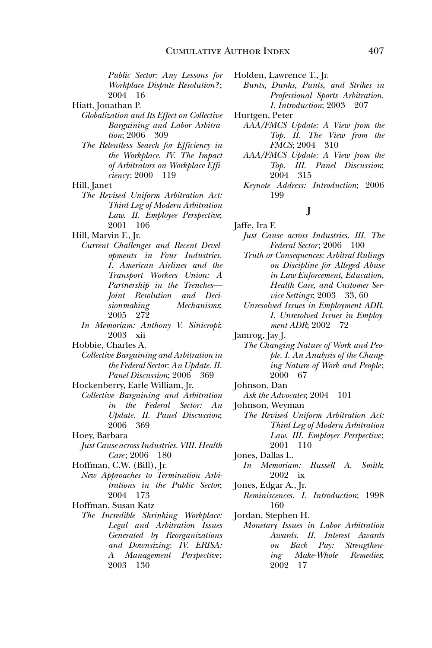*Public Sector: Any Lessons for Workplace Dispute Resolution?* ; 2004 16

Hiatt, Jonathan P.

- *Globalization and Its Effect on Collective Bargaining and Labor Arbitration*; 2006 309
	- *The Relentless Search for Efficiency in the Workplace. IV. The Impact of Arbitrators on Workplace Efficiency* ; 2000 119

Hill, Janet

*The Revised Uniform Arbitration Act: Third Leg of Modern Arbitration Law. II. Employee Perspective*; 2001 106

Hill, Marvin F., Jr.

- *Current Challenges and Recent Developments in Four Industries. I. American Airlines and the Transport Workers Union: A Partnership in the Trenches— Joint Resolution and Decisionmaking Mechanisms*; 2005 272
- *In Memoriam: Anthony V. Sinicropi*; 2003 xii

Hobbie, Charles A.

- *Collective Bargaining and Arbitration in the Federal Sector: An Update. II. Panel Discussion*; 2006 369
- Hockenberry, Earle William, Jr.
- *Collective Bargaining and Arbitration in the Federal Sector: An Update. II. Panel Discussion*; 2006 369

Hoey, Barbara

*Just Cause across Industries. VIII. Health Care* ; 2006 180

Hoffman, C.W. (Bill), Jr.

*New Approaches to Termination Arbitrations in the Public Sector*; 2004 173

Hoffman, Susan Katz

*The Incredible Shrinking Workplace: Legal and Arbitration Issues Generated by Reorganizations and Downsizing. IV. ERISA: A Management Perspective* ; 2003 130

Holden, Lawrence T., Jr.

*Bunts, Dunks, Punts, and Strikes in Professional Sports Arbitration. I. Introduction*; 2003 207

Hurtgen, Peter

- *AAA/FMCS Update: A View from the Top. II. The View from the FMCS*; 2004 310
- *AAA/FMCS Update: A View from the Top. III. Panel Discussion*; 2004 315
- *Keynote Address: Introduction*; 2006 199

# **J**

Jaffe, Ira F.

- *Just Cause across Industries. III. The Federal Sector* ; 2006 100
- *Truth or Consequences: Arbitral Rulings on Discipline for Alleged Abuse in Law Enforcement, Education, Health Care, and Customer Service Settings*; 2003 33, 60
- *Unresolved Issues in Employment ADR. I. Unresolved Issues in Employment ADR*; 2002 72

Jamrog, Jay J.

- *The Changing Nature of Work and People. I. An Analysis of the Changing Nature of Work and People* ; 2000 67
- Johnson, Dan
- *Ask the Advocates*; 2004 101
- Johnson, Weyman
- *The Revised Uniform Arbitration Act: Third Leg of Modern Arbitration Law. III. Employer Perspective* ; 2001 110
- Jones, Dallas L.
- *In Memoriam: Russell A. Smith*; 2002 ix
- Jones, Edgar A., Jr.
- *Reminiscences. I. Introduction*; 1998 160
- Jordan, Stephen H.
	- *Monetary Issues in Labor Arbitration Awards. II. Interest Awards on Back Pay: Strengthening Make-Whole Remedies*; 2002 17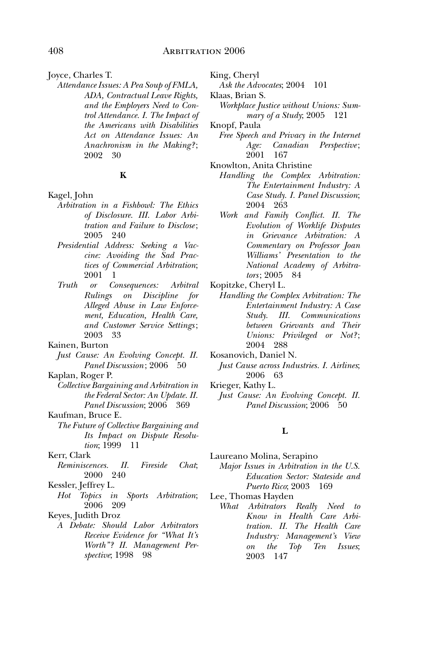Joyce, Charles T.

*Attendance Issues: A Pea Soup of FMLA, ADA, Contractual Leave Rights, and the Employers Need to Control Attendance. I. The Impact of the Americans with Disabilities Act on Attendance Issues: An Anachronism in the Making?* ; 2002 30

#### **K**

#### Kagel, John

- *Arbitration in a Fishbowl: The Ethics of Disclosure. III. Labor Arbitration and Failure to Disclose* ; 2005 240
- *Presidential Address: Seeking a Vaccine: Avoiding the Sad Practices of Commercial Arbitration*; 2001 1
- *Truth or Consequences: Arbitral Rulings on Discipline for Alleged Abuse in Law Enforcement, Education, Health Care, and Customer Service Settings* ; 2003 33

Kainen, Burton

*Just Cause: An Evolving Concept. II. Panel Discussion*; 2006 50

Kaplan, Roger P.

*Collective Bargaining and Arbitration in the Federal Sector: An Update. II. Panel Discussion*; 2006 369

## Kaufman, Bruce E.

*The Future of Collective Bargaining and Its Impact on Dispute Resolution*; 1999 11

- *Reminiscences. II. Fireside Chat*; 2000 240
- Kessler, Jeffrey L.
- *Hot Topics in Sports Arbitration*; 2006 209

#### Keyes, Judith Droz

*A Debate: Should Labor Arbitrators Receive Evidence for "What It's Worth"? II. Management Perspective*; 1998 98

King, Cheryl

- *Ask the Advocates*; 2004 101
- Klaas, Brian S.
	- *Workplace Justice without Unions: Summary of a Study*; 2005 121
- Knopf, Paula
- *Free Speech and Privacy in the Internet Age: Canadian Perspective* ; 2001 167
- Knowlton, Anita Christine
	- *Handling the Complex Arbitration: The Entertainment Industry: A Case Study. I. Panel Discussion*; 2004 263
	- *Work and Family Conflict. II. The Evolution of Worklife Disputes in Grievance Arbitration: A Commentary on Professor Joan Williams' Presentation to the National Academy of Arbitrators* ; 2005 84
- Kopitzke, Cheryl L.
	- *Handling the Complex Arbitration: The Entertainment Industry: A Case Study. III. Communications between Grievants and Their Unions: Privileged or Not?* ; 2004 288
- Kosanovich, Daniel N.
	- *Just Cause across Industries. I. Airlines*; 2006 63
- Krieger, Kathy L.
	- *Just Cause: An Evolving Concept. II. Panel Discussion*; 2006 50

#### **L**

- Laureano Molina, Serapino *Major Issues in Arbitration in the U.S. Education Sector: Stateside and* 
	- *Puerto Rico*; 2003 169
- Lee, Thomas Hayden
	- *What Arbitrators Really Need to Know in Health Care Arbitration. II. The Health Care Industry: Management's View on the Top Ten Issues*; 2003 147

Kerr, Clark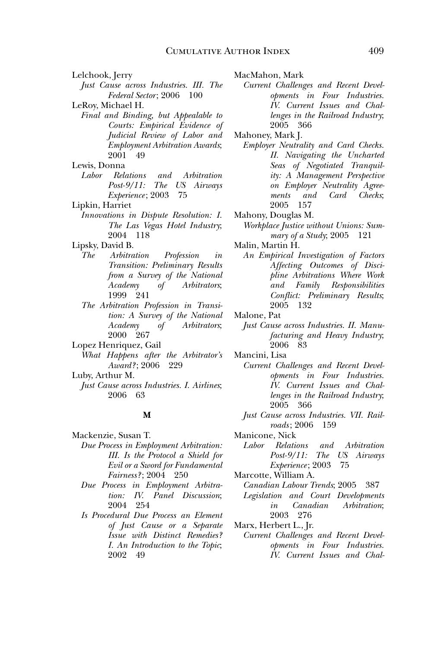Lelchook, Jerry

*Just Cause across Industries. III. The Federal Sector* ; 2006 100

LeRoy, Michael H.

*Final and Binding, but Appealable to Courts: Empirical Evidence of Judicial Review of Labor and Employment Arbitration Awards*; 2001 49

Lewis, Donna

- *Labor Relations and Arbitration Post-9/11: The US Airways Experience* ; 2003 75
- Lipkin, Harriet
- *Innovations in Dispute Resolution: I. The Las Vegas Hotel Industry*; 2004 118

Lipsky, David B.

- *The Arbitration Profession in Transition: Preliminary Results from a Survey of the National Academy of Arbitrators*; 1999 241
- *The Arbitration Profession in Transition: A Survey of the National Academy of Arbitrators*; 2000 267
- Lopez Henriquez, Gail *What Happens after the Arbitrator's Award?* ; 2006 229
- Luby, Arthur M. *Just Cause across Industries. I. Airlines*; 2006 63

#### **M**

Mackenzie, Susan T. *Due Process in Employment Arbitration: III. Is the Protocol a Shield for Evil or a Sword for Fundamental Fairness?* ; 2004 250

*Due Process in Employment Arbitration: IV. Panel Discussion*; 2004 254

*Is Procedural Due Process an Element of Just Cause or a Separate Issue with Distinct Remedies? I. An Introduction to the Topic*; 2002 49

MacMahon, Mark

*Current Challenges and Recent Developments in Four Industries. IV. Current Issues and Challenges in the Railroad Industry*; 2005 366

Mahoney, Mark J.

- *Employer Neutrality and Card Checks. II. Navigating the Uncharted Seas of Negotiated Tranquility: A Management Perspective on Employer Neutrality Agreements and Card Checks*; 2005 157
- Mahony, Douglas M.
	- *Workplace Justice without Unions: Summary of a Study*; 2005 121
- Malin, Martin H.
	- *An Empirical Investigation of Factors Affecting Outcomes of Discipline Arbitrations Where Work and Family Responsibilities Conflict: Preliminary Results*; 2005 132
- Malone, Pat
	- *Just Cause across Industries. II. Manufacturing and Heavy Industry*; 2006 83
- Mancini, Lisa
	- *Current Challenges and Recent Developments in Four Industries. IV. Current Issues and Challenges in the Railroad Industry*; 2005 366
	- *Just Cause across Industries. VII. Railroads* ; 2006 159

Manicone, Nick<br>*Labor Relations* 

*Labor Relations and Arbitration Post-9/11: The US Airways Experience* ; 2003 75

Marcotte, William A.

- *Canadian Labour Trends*; 2005 387 *Legislation and Court Developments in Canadian Arbitration*; 2003 276
- Marx, Herbert L., Jr.
- *Current Challenges and Recent Developments in Four Industries. IV. Current Issues and Chal-*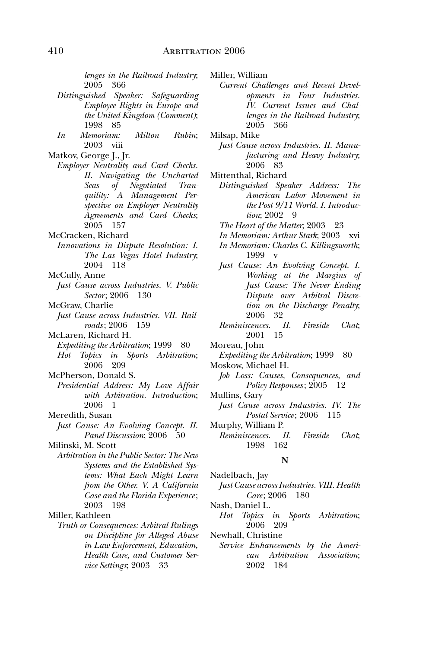*lenges in the Railroad Industry*; 2005 366

- *Distinguished Speaker: Safeguarding Employee Rights in Europe and the United Kingdom (Comment)*; 1998 85
- *In Memoriam: Milton Rubin*; 2003 viii
- Matkov, George J., Jr.
	- *Employer Neutrality and Card Checks. II. Navigating the Uncharted Seas of Negotiated Tranquility: A Management Perspective on Employer Neutrality Agreements and Card Checks*; 2005 157
- McCracken, Richard
	- *Innovations in Dispute Resolution: I. The Las Vegas Hotel Industry*; 2004 118
- McCully, Anne
- *Just Cause across Industries. V. Public Sector* ; 2006 130
- McGraw, Charlie
- *Just Cause across Industries. VII. Railroads* ; 2006 159
- McLaren, Richard H.
	- *Expediting the Arbitration*; 1999 80 *Hot Topics in Sports Arbitration*; 2006 209
- McPherson, Donald S.
- *Presidential Address: My Love Affair with Arbitration. Introduction*; 2006 1
- Meredith, Susan
	- *Just Cause: An Evolving Concept. II. Panel Discussion*; 2006 50

Milinski, M. Scott

*Arbitration in the Public Sector: The New Systems and the Established Systems: What Each Might Learn from the Other. V. A California Case and the Florida Experience* ; 2003 198

Miller, Kathleen

*Truth or Consequences: Arbitral Rulings on Discipline for Alleged Abuse in Law Enforcement, Education, Health Care, and Customer Service Settings*; 2003 33

Miller, William

- *Current Challenges and Recent Developments in Four Industries. IV. Current Issues and Challenges in the Railroad Industry*; 2005 366
- Milsap, Mike
- *Just Cause across Industries. II. Manufacturing and Heavy Industry*; 2006 83
- Mittenthal, Richard
	- *Distinguished Speaker Address: The American Labor Movement in the Post 9/11 World. I. Introduction*: 2002 9
	- *The Heart of the Matter*; 2003 23
	- *In Memoriam: Arthur Stark*; 2003 xvi
	- *In Memoriam: Charles C. Killingsworth*; 1999 v
	- *Just Cause: An Evolving Concept. I. Working at the Margins of Just Cause: The Never Ending Dispute over Arbitral Discretion on the Discharge Penalty*; 2006 32
	- *Reminiscences. II. Fireside Chat*; 2001 15

Moreau, John

- *Expediting the Arbitration*; 1999 80 Moskow, Michael H.
- *Job Loss: Causes, Consequences, and Policy Responses*; 2005 12
- Mullins, Gary
	- *Just Cause across Industries. IV. The Postal Service*; 2006 115
- Murphy, William P.
	- *Reminiscences. II. Fireside Chat*; 1998 162

#### **N**

Nadelbach, Jay *Just Cause across Industries. VIII. Health Care* ; 2006 180

Nash, Daniel L.

*Hot Topics in Sports Arbitration*; 2006 209

Newhall, Christine

*Service Enhancements by the American Arbitration Association*; 2002 184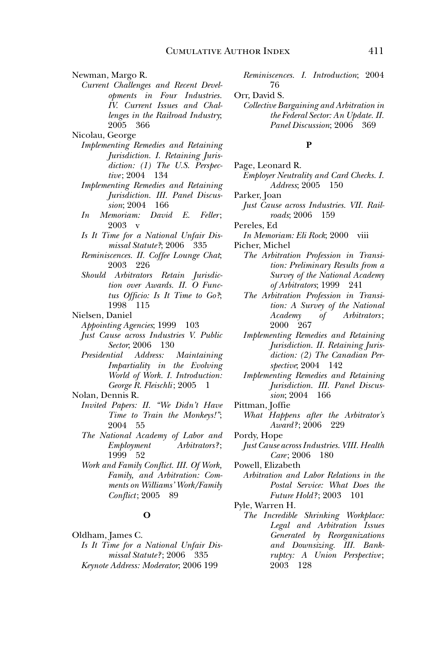Newman, Margo R.

*Current Challenges and Recent Developments in Four Industries. IV. Current Issues and Challenges in the Railroad Industry*; 2005 366

Nicolau, George

- *Implementing Remedies and Retaining Jurisdiction. I. Retaining Jurisdiction: (1) The U.S. Perspective* ; 2004 134
	- *Implementing Remedies and Retaining Jurisdiction. III. Panel Discussion*; 2004 166
	- *In Memoriam: David E. Feller* ; 2003 v
	- *Is It Time for a National Unfair Dismissal Statute?*; 2006 335
	- *Reminiscences. II. Coffee Lounge Chat*; 2003 226
	- *Should Arbitrators Retain Jurisdiction over Awards. II. O Functus Officio: Is It Time to Go?*; 1998 115
- Nielsen, Daniel

*Appointing Agencies*; 1999 103

- *Just Cause across Industries V. Public Sector*; 2006 130<br>*Presidential Address:*
- *Presidential Address: Maintaining Impartiality in the Evolving World of Work. I. Introduction: George R. Fleischli*; 2005 1
- Nolan, Dennis R.
	- *Invited Papers: II. "We Didn't Have Time to Train the Monkeys!"*; 2004 55
		- *The National Academy of Labor and*   $Employment$ 1999 52
		- *Work and Family Conflict. III. Of Work, Family, and Arbitration: Comments on Williams' Work/Family Conflict* ; 2005 89

#### **O**

Oldham, James C. *Is It Time for a National Unfair Dismissal Statute?* ; 2006 335 *Keynote Address: Moderator*; 2006 199

*Reminiscences. I. Introduction*; 2004 76

- Orr, David S.
- *Collective Bargaining and Arbitration in the Federal Sector: An Update. II. Panel Discussion*; 2006 369

## **P**

- Page, Leonard R. *Employer Neutrality and Card Checks. I. Address*; 2005 150
- Parker, Joan
	- *Just Cause across Industries. VII. Railroads*; 2006 159
- Pereles, Ed
- *In Memoriam: Eli Rock*; 2000 viii Picher, Michel
	- *The Arbitration Profession in Transition: Preliminary Results from a Survey of the National Academy of Arbitrators*; 1999 241
	- *The Arbitration Profession in Transition: A Survey of the National Academy of Arbitrators* ; 2000 267
	- *Implementing Remedies and Retaining Jurisdiction. II. Retaining Jurisdiction: (2) The Canadian Perspective*; 2004 142
	- *Implementing Remedies and Retaining Jurisdiction. III. Panel Discussion*; 2004 166
- Pittman, Joffie
- *What Happens after the Arbitrator's Award?* ; 2006 229
- Pordy, Hope
- *Just Cause across Industries. VIII. Health Care* ; 2006 180
- Powell, Elizabeth
- *Arbitration and Labor Relations in the Postal Service: What Does the Future Hold?* ; 2003 101
- Pyle, Warren H.
	- *The Incredible Shrinking Workplace: Legal and Arbitration Issues Generated by Reorganizations and Downsizing. III. Bankruptcy: A Union Perspective* ; 2003 128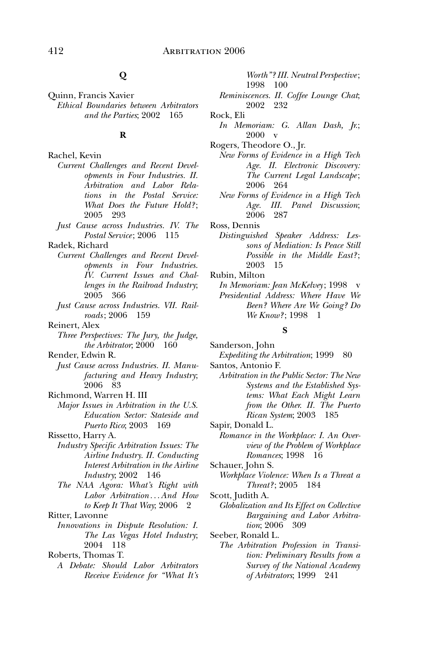# **Q**

Quinn, Francis Xavier *Ethical Boundaries between Arbitrators and the Parties*; 2002 165

# **R**

Rachel, Kevin *Current Challenges and Recent Developments in Four Industries. II. Arbitration and Labor Relations in the Postal Service: What Does the Future Hold?* ; 2005 293

*Just Cause across Industries. IV. The Postal Service* ; 2006 115

Radek, Richard

- *Current Challenges and Recent Developments in Four Industries. IV. Current Issues and Challenges in the Railroad Industry*; 2005 366
- *Just Cause across Industries. VII. Railroads* ; 2006 159

Reinert, Alex

*Three Perspectives: The Jury, the Judge, the Arbitrator*; 2000 160

Render, Edwin R.

- *Just Cause across Industries. II. Manufacturing and Heavy Industry*; 2006 83
- Richmond, Warren H. III
	- *Major Issues in Arbitration in the U.S. Education Sector: Stateside and Puerto Rico*; 2003 169

Rissetto, Harry A.

- *Industry Specific Arbitration Issues: The Airline Industry. II. Conducting Interest Arbitration in the Airline Industry*; 2002 146
- *The NAA Agora: What's Right with Labor Arbitration . . . And How to Keep It That Way*; 2006 2

Ritter, Lavonne

*Innovations in Dispute Resolution: I. The Las Vegas Hotel Industry*; 2004 118

Roberts, Thomas T.

*A Debate: Should Labor Arbitrators Receive Evidence for "What It's*  *Worth"? III. Neutral Perspective* ; 1998 100

*Reminiscences. II. Coffee Lounge Chat*; 2002 232

Rock, Eli

*In Memoriam: G. Allan Dash, Jr.*; 2000 v

Rogers, Theodore O., Jr.

- *New Forms of Evidence in a High Tech Age. II. Electronic Discovery: The Current Legal Landscape* ; 2006 264
- *New Forms of Evidence in a High Tech Age. III. Panel Discussion*; 2006 287

Ross, Dennis

*Distinguished Speaker Address: Lessons of Mediation: Is Peace Still Possible in the Middle East?* ; 2003 15

Rubin, Milton

*In Memoriam: Jean McKelvey*; 1998 v *Presidential Address: Where Have We Been? Where Are We Going? Do We Know?*; 1998 1

#### **S**

Sanderson, John *Expediting the Arbitration*; 1999 80

Santos, Antonio F.

- *Arbitration in the Public Sector: The New Systems and the Established Systems: What Each Might Learn from the Other. II. The Puerto Rican System*; 2003 185
- Sapir, Donald L. *Romance in the Workplace: I. An Overview of the Problem of Workplace Romances*; 1998 16

Schauer, John S.

*Workplace Violence: When Is a Threat a Threat?* ; 2005 184

Scott, Judith A.

*Globalization and Its Effect on Collective Bargaining and Labor Arbitration*; 2006 309

Seeber, Ronald L.

*The Arbitration Profession in Transition: Preliminary Results from a Survey of the National Academy of Arbitrators*; 1999 241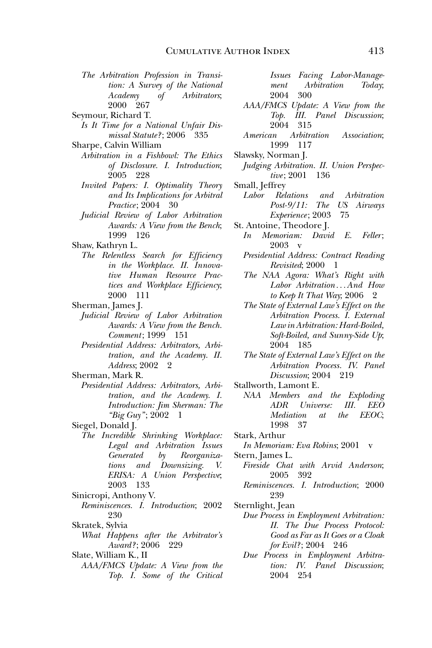- *The Arbitration Profession in Transition: A Survey of the National Academy of Arbitrators*; 2000 267
- Seymour, Richard T.
- *Is It Time for a National Unfair Dismissal Statute?* ; 2006 335
- Sharpe, Calvin William
- *Arbitration in a Fishbowl: The Ethics of Disclosure. I. Introduction*; 2005 228
- *Invited Papers: I. Optimality Theory and Its Implications for Arbitral Practice* ; 2004 30
- *Judicial Review of Labor Arbitration Awards: A View from the Bench*; 1999 126
- Shaw, Kathryn L.
	- *The Relentless Search for Efficiency in the Workplace. II. Innovative Human Resource Practices and Workplace Efficiency*; 2000 111
- Sherman, James J.
- *Judicial Review of Labor Arbitration Awards: A View from the Bench. Comment* ; 1999 151
- *Presidential Address: Arbitrators, Arbitration, and the Academy. II. Address*; 2002 2
- Sherman, Mark R.
- *Presidential Address: Arbitrators, Arbitration, and the Academy. I. Introduction: Jim Sherman: The "Big Guy"*; 2002 1
- Siegel, Donald J.
	- *The Incredible Shrinking Workplace: Legal and Arbitration Issues Generated by Reorganizations and Downsizing. V. ERISA: A Union Perspective*; 2003 133
- Sinicropi, Anthony V.
- *Reminiscences. I. Introduction*; 2002 230
- Skratek, Sylvia *What Happens after the Arbitrator's Award?* ; 2006 229
- Slate, William K., II
- *AAA/FMCS Update: A View from the Top. I. Some of the Critical*

*Issues Facing Labor-Management Arbitration Today*; 2004 300

- *AAA/FMCS Update: A View from the Top. III. Panel Discussion*; 2004 315
- *American Arbitration Association*; 1999 117
- Slawsky, Norman J.
	- *Judging Arbitration. II. Union Perspective* ; 2001 136
- Small, Jeffrey
	- *Labor Relations and Arbitration Post-9/11: The US Airways Experience* ; 2003 75
- St. Antoine, Theodore J.
	- *In Memoriam: David E. Feller* ; 2003 v
	- *Presidential Address: Contract Reading Revisited*; 2000 1
	- *The NAA Agora: What's Right with Labor Arbitration . . . And How to Keep It That Way*; 2006 2
	- *The State of External Law's Effect on the Arbitration Process. I. External Law in Arbitration: Hard-Boiled, Soft-Boiled, and Sunny-Side Up*; 2004 185
	- *The State of External Law's Effect on the Arbitration Process. IV. Panel Discussion*; 2004 219
- Stallworth, Lamont E.
	- *NAA Members and the Exploding ADR Universe: III. EEO Mediation at the EEOC*; 1998 37
- Stark, Arthur
- *In Memoriam: Eva Robins*; 2001 v
- Stern, James L.
	- *Fireside Chat with Arvid Anderson*; 2005 392
	- *Reminiscences. I. Introduction*; 2000 239
- Sternlight, Jean
	- *Due Process in Employment Arbitration: II. The Due Process Protocol: Good as Far as It Goes or a Cloak for Evil?* ; 2004 246
	- *Due Process in Employment Arbitration: IV. Panel Discussion*; 2004 254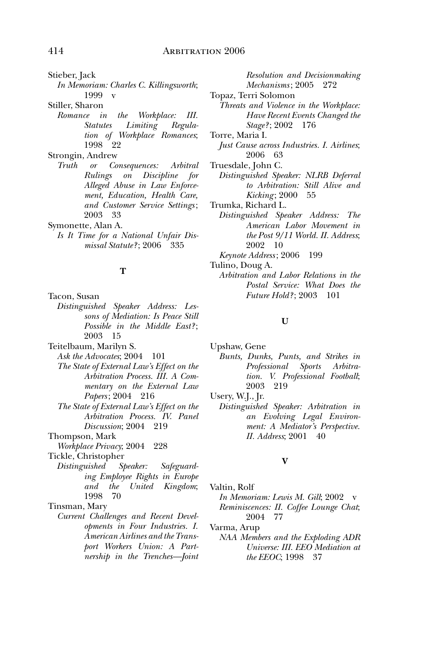Stieber, Jack

*In Memoriam: Charles C. Killingsworth*; 1999 v

Stiller, Sharon

*Romance in the Workplace: III. Statutes Limiting Regulation of Workplace Romances*; 1998 22

Strongin, Andrew

*Truth or Consequences: Arbitral Rulings on Discipline for Alleged Abuse in Law Enforcement, Education, Health Care, and Customer Service Settings* ; 2003 33

Symonette, Alan A.

*Is It Time for a National Unfair Dismissal Statute?* ; 2006 335

#### **T**

- Tacon, Susan *Distinguished Speaker Address: Lessons of Mediation: Is Peace Still Possible in the Middle East?* ;
- 2003 15 Teitelbaum, Marilyn S.
	- *Ask the Advocates*; 2004 101
	- *The State of External Law's Effect on the Arbitration Process. III. A Commentary on the External Law Papers* ; 2004 216
	- *The State of External Law's Effect on the Arbitration Process. IV. Panel Discussion*; 2004 219
- Thompson, Mark
- *Workplace Privacy*; 2004 228

Tickle, Christopher

*Distinguished Speaker: Safeguarding Employee Rights in Europe and the United Kingdom*; 1998 70

Tinsman, Mary

*Current Challenges and Recent Developments in Four Industries. I. American Airlines and the Transport Workers Union: A Partnership in the Trenches—Joint* 

*Resolution and Decisionmaking Mechanisms* ; 2005 272 Topaz, Terri Solomon *Threats and Violence in the Workplace:* 

- *Have Recent Events Changed the Stage?* ; 2002 176
- Torre, Maria I.
- *Just Cause across Industries. I. Airlines*; 2006 63
- Truesdale, John C.
	- *Distinguished Speaker: NLRB Deferral to Arbitration: Still Alive and Kicking* ; 2000 55
- Trumka, Richard L.
	- *Distinguished Speaker Address: The American Labor Movement in the Post 9/11 World. II. Address*; 2002 10
	- *Keynote Address* ; 2006 199

Tulino, Doug A.

*Arbitration and Labor Relations in the Postal Service: What Does the Future Hold?* ; 2003 101

#### **U**

Upshaw, Gene *Bunts, Dunks, Punts, and Strikes in Professional Sports Arbitration. V. Professional Football*; 2003 219

Usery, W.J., Jr.

*Distinguished Speaker: Arbitration in an Evolving Legal Environment: A Mediator's Perspective. II. Address*; 2001 40

# **V**

- Valtin, Rolf *In Memoriam: Lewis M. Gill*; 2002 v *Reminiscences: II. Coffee Lounge Chat*; 2004 77
- Varma, Arup
- *NAA Members and the Exploding ADR Universe: III. EEO Mediation at the EEOC*; 1998 37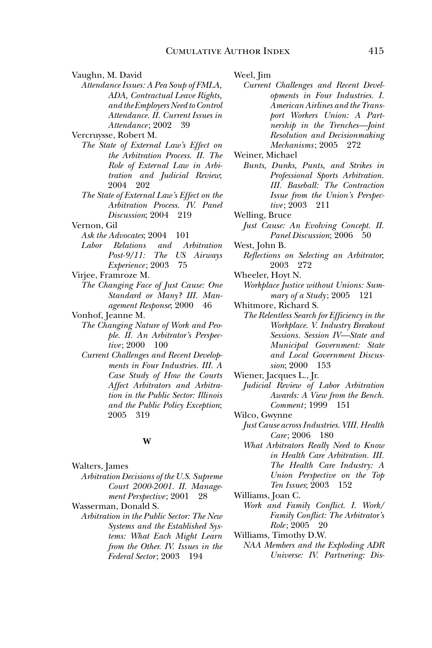Vaughn, M. David *Attendance Issues: A Pea Soup of FMLA, ADA, Contractual Leave Rights, and the Employers Need to Control Attendance. II. Current Issues in Attendance* ; 2002 39

Vercruysse, Robert M.

- *The State of External Law's Effect on the Arbitration Process. II. The Role of External Law in Arbitration and Judicial Review*; 2004 202
- *The State of External Law's Effect on the Arbitration Process. IV. Panel Discussion*; 2004 219

Vernon, Gil

Ask the Advocates; 2004 101

- *Labor Relations and Arbitration Post-9/11: The US Airways Experience* ; 2003 75
- Virjee, Framroze M.
	- *The Changing Face of Just Cause: One Standard or Many? III. Management Response*; 2000 46
- Vonhof, Jeanne M.
	- *The Changing Nature of Work and People. II. An Arbitrator's Perspective*; 2000 100
	- *Current Challenges and Recent Developments in Four Industries. III. A Case Study of How the Courts Affect Arbitrators and Arbitration in the Public Sector: Illinois and the Public Policy Exception*; 2005 319

#### **W**

- Walters, James *Arbitration Decisions of the U.S. Supreme Court 2000-2001. II. Management Perspective* ; 2001 28
- Wasserman, Donald S. *Arbitration in the Public Sector: The New Systems and the Established Systems: What Each Might Learn from the Other. IV. Issues in the Federal Sector* ; 2003 194

Weel, Jim

*Current Challenges and Recent Developments in Four Industries. I. American Airlines and the Transport Workers Union: A Partnership in the Trenches—Joint Resolution and Decisionmaking Mechanisms* ; 2005 272

- *Bunts, Dunks, Punts, and Strikes in Professional Sports Arbitration. III. Baseball: The Contraction Issue from the Union's Perspective* ; 2003 211
- Welling, Bruce *Just Cause: An Evolving Concept. II. Panel Discussion*; 2006 50
- West, John B.
- *Reflections on Selecting an Arbitrator*; 2003 272
- Wheeler, Hoyt N. *Workplace Justice without Unions: Summary of a Study* ; 2005 121
- Whitmore, Richard S. *The Relentless Search for Efficiency in the Workplace. V. Industry Breakout Sessions. Session IV—State and Municipal Government: State and Local Government Discussion*; 2000 153
- Wiener, Jacques L., Jr.
- *Judicial Review of Labor Arbitration Awards: A View from the Bench. Comment*; 1999<sup> $\sim$ </sup> 151
- Wilco, Gwynne *Just Cause across Industries. VIII. Health Care* ; 2006 180
	- *What Arbitrators Really Need to Know in Health Care Arbitration. III. The Health Care Industry: A Union Perspective on the Top Ten Issues*; 2003 152
- Williams, Joan C.
	- *Work and Family Conflict. I. Work/ Family Conflict: The Arbitrator's Role* ; 2005 20
- Williams, Timothy D.W. *NAA Members and the Exploding ADR Universe: IV. Partnering: Dis-*

Weiner, Michael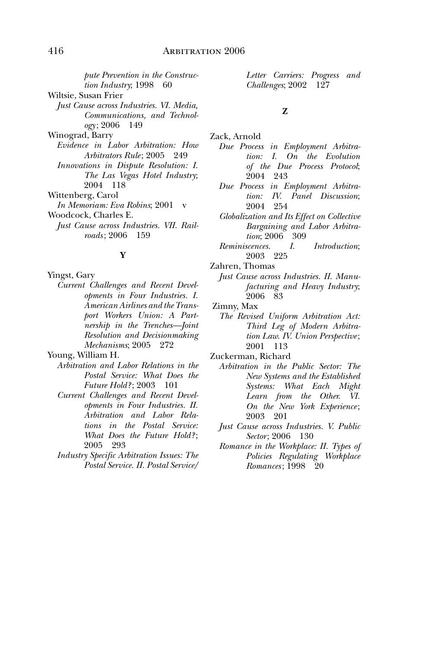*pute Prevention in the Construction Industry*; 1998 60 Wiltsie, Susan Frier *Just Cause across Industries. VI. Media, Communications, and Technology* ; 2006 149 Winograd, Barry *Evidence in Labor Arbitration: How Arbitrators Rule* ; 2005 249 *Innovations in Dispute Resolution: I. The Las Vegas Hotel Industry*; 2004 118 Wittenberg, Carol *In Memoriam: Eva Robins*; 2001 Woodcock, Charles E. *Just Cause across Industries. VII. Rail-*

# *roads* ; 2006 159 **Y**

Yingst, Gary

*Current Challenges and Recent Developments in Four Industries. I. American Airlines and the Transport Workers Union: A Partnership in the Trenches—Joint Resolution and Decisionmaking Mechanisms*; 2005 272

Young, William H.

- *Arbitration and Labor Relations in the Postal Service: What Does the Future Hold?* ; 2003 101
- *Current Challenges and Recent Developments in Four Industries. II. Arbitration and Labor Relations in the Postal Service: What Does the Future Hold?* ; 2005 293
- *Industry Specific Arbitration Issues: The Postal Service. II. Postal Service/*

*Letter Carriers: Progress and Challenges*; 2002 127

#### **Z**

Zack, Arnold

- *Due Process in Employment Arbitration: I. On the Evolution of the Due Process Protocol*; 2004 243
- *Due Process in Employment Arbitration: IV. Panel Discussion*; 2004 254
- *Globalization and Its Effect on Collective Bargaining and Labor Arbitration*; 2006 309
- *Reminiscences. I. Introduction*; 2003 225

Zahren, Thomas

- *Just Cause across Industries. II. Manufacturing and Heavy Industry*; 2006 83
- Zimny, Max
	- *The Revised Uniform Arbitration Act: Third Leg of Modern Arbitration Law. IV. Union Perspective* ; 2001 113
- Zuckerman, Richard
	- *Arbitration in the Public Sector: The New Systems and the Established Systems: What Each Might Learn from the Other. VI. On the New York Experience* ; 2003 201
	- *Just Cause across Industries. V. Public Sector* ; 2006 130
	- *Romance in the Workplace: II. Types of Policies Regulating Workplace Romances* ; 1998 20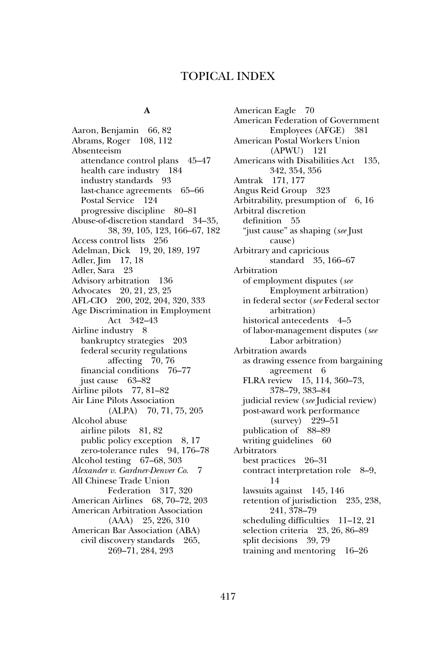# TOPICAL INDEX

### **A**

Aaron, Benjamin 66, 82 Abrams, Roger 108, 112 Absenteeism attendance control plans 45–47 health care industry 184 industry standards 93 last-chance agreements 65–66 Postal Service 124 progressive discipline 80–81 Abuse-of-discretion standard 34–35, 38, 39, 105, 123, 166–67, 182 Access control lists 256 Adelman, Dick 19, 20, 189, 197 Adler, Jim 17, 18 Adler, Sara 23 Advisory arbitration 136 Advocates 20, 21, 23, 25 AFL-CIO 200, 202, 204, 320, 333 Age Discrimination in Employment Act 342–43 Airline industry 8 bankruptcy strategies 203 federal security regulations affecting 70, 76 financial conditions 76–77 just cause 63–82 Airline pilots 77, 81–82 Air Line Pilots Association (ALPA) 70, 71, 75, 205 Alcohol abuse airline pilots 81, 82 public policy exception 8, 17 zero-tolerance rules 94, 176–78 Alcohol testing 67–68, 303 *Alexander v. Gardner-Denver Co*. 7 All Chinese Trade Union Federation 317, 320 American Airlines 68, 70–72, 203 American Arbitration Association (AAA) 25, 226, 310 American Bar Association (ABA) civil discovery standards 265, 269–71, 284, 293

American Eagle 70 American Federation of Government Employees (AFGE) 381 American Postal Workers Union (APWU) 121 Americans with Disabilities Act 135, 342, 354, 356 Amtrak 171, 177 Angus Reid Group 323 Arbitrability, presumption of  $6, 16$ Arbitral discretion definition 55 "just cause" as shaping (*see* Just cause) Arbitrary and capricious standard 35, 166–67 Arbitration of employment disputes (*see* Employment arbitration) in federal sector (*see* Federal sector arbitration) historical antecedents 4–5 of labor-management disputes (*see* Labor arbitration) Arbitration awards as drawing essence from bargaining agreement 6 FLRA review 15, 114, 360–73, 378–79, 383–84 judicial review (*see* Judicial review) post-award work performance (survey) 229–51 publication of 88–89 writing guidelines 60 Arbitrators best practices 26–31 contract interpretation role 8–9, 14 lawsuits against 145, 146 retention of jurisdiction 235, 238, 241, 378–79 scheduling difficulties 11–12, 21 selection criteria 23, 26, 86–89 split decisions 39, 79 training and mentoring 16–26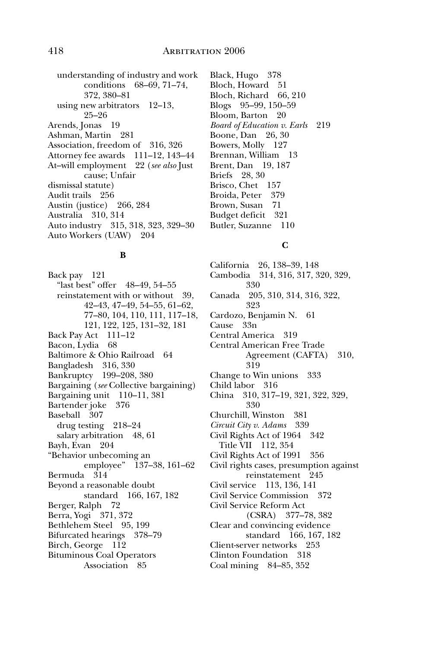understanding of industry and work conditions 68–69, 71–74, 372, 380–81 using new arbitrators 12–13, 25–26 Arends, Jonas 19 Ashman, Martin 281 Association, freedom of 316, 326 Attorney fee awards 111–12, 143–44 At–will employment 22 (*see also* Just cause; Unfair dismissal statute) Audit trails 256 Austin (justice) 266, 284 Australia 310, 314 Auto industry 315, 318, 323, 329–30 Auto Workers (UAW) 204

#### **B**

Back pay 121 "last best" offer 48–49, 54–55 reinstatement with or without 39, 42–43, 47–49, 54–55, 61–62, 77–80, 104, 110, 111, 117–18, 121, 122, 125, 131–32, 181 Back Pay Act 111–12 Bacon, Lydia 68 Baltimore & Ohio Railroad 64 Bangladesh 316, 330 Bankruptcy 199–208, 380 Bargaining (*see* Collective bargaining) Bargaining unit 110–11, 381 Bartender joke 376 Baseball 307 drug testing 218–24 salary arbitration 48, 61 Bayh, Evan 204 "Behavior unbecoming an employee" 137–38, 161–62 Bermuda 314 Beyond a reasonable doubt standard 166, 167, 182 Berger, Ralph 72 Berra, Yogi 371, 372 Bethlehem Steel 95, 199 Bifurcated hearings 378–79 Birch, George 112 Bituminous Coal Operators Association 85

Black, Hugo 378 Bloch, Howard 51 Bloch, Richard 66, 210 Blogs 95–99, 150–59 Bloom, Barton 20 *Board of Education v. Earls* 219 Boone, Dan 26, 30 Bowers, Molly 127 Brennan, William 13 Brent, Dan 19, 187 Briefs 28, 30 Brisco, Chet 157 Broida, Peter 379 Brown, Susan 71 Budget deficit 321 Butler, Suzanne 110

# **C**

California 26, 138–39, 148 Cambodia 314, 316, 317, 320, 329, 330 Canada 205, 310, 314, 316, 322, 323 Cardozo, Benjamin N. 61 Cause 33n Central America 319 Central American Free Trade Agreement (CAFTA) 310, 319 Change to Win unions 333 Child labor 316 China 310, 317–19, 321, 322, 329, 330 Churchill, Winston 381 *Circuit City v. Adams* 339 Civil Rights Act of 1964 342 Title VII 112, 354 Civil Rights Act of 1991 356 Civil rights cases, presumption against reinstatement 245 Civil service 113, 136, 141 Civil Service Commission 372 Civil Service Reform Act (CSRA) 377–78, 382 Clear and convincing evidence standard 166, 167, 182 Client-server networks 253 Clinton Foundation 318 Coal mining 84–85, 352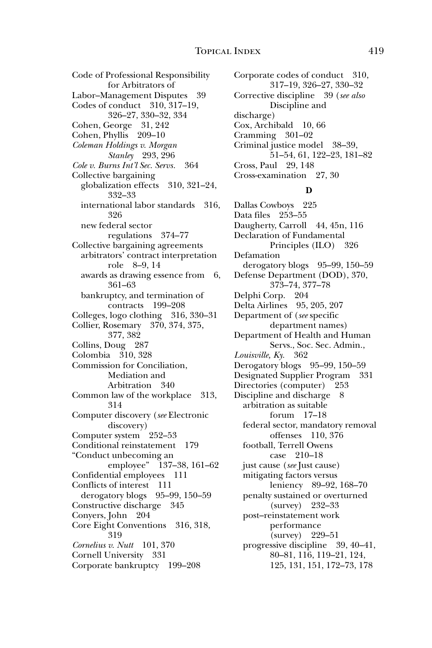Code of Professional Responsibility for Arbitrators of Labor–Management Disputes 39 Codes of conduct 310, 317–19, 326–27, 330–32, 334 Cohen, George 31, 242 Cohen, Phyllis 209–10 *Coleman Holdings v. Morgan Stanley* 293, 296 *Cole v. Burns Int'l Sec. Servs.* 364 Collective bargaining globalization effects 310, 321–24, 332–33 international labor standards 316, 326 new federal sector regulations 374–77 Collective bargaining agreements arbitrators' contract interpretation role 8–9, 14 awards as drawing essence from 6, 361–63 bankruptcy, and termination of contracts 199–208 Colleges, logo clothing 316, 330–31 Collier, Rosemary 370, 374, 375, 377, 382 Collins, Doug 287 Colombia 310, 328 Commission for Conciliation, Mediation and Arbitration 340 Common law of the workplace 313, 314 Computer discovery (*see* Electronic discovery) Computer system 252–53 Conditional reinstatement 179 "Conduct unbecoming an employee" 137–38, 161–62 Confidential employees 111 Conflicts of interest 111 derogatory blogs 95–99, 150–59 Constructive discharge 345 Conyers, John 204 Core Eight Conventions 316, 318, 319 *Cornelius v. Nutt* 101, 370 Cornell University 331 Corporate bankruptcy 199–208

Corporate codes of conduct 310, 317–19, 326–27, 330–32 Corrective discipline 39 (*see also* Discipline and discharge) Cox, Archibald 10, 66 Cramming 301–02 Criminal justice model 38–39, 51–54, 61, 122–23, 181–82 Cross, Paul 29, 148 Cross-examination 27, 30

#### **D**

Dallas Cowboys 225 Data files 253–55 Daugherty, Carroll 44, 45n, 116 Declaration of Fundamental Principles (ILO) 326 Defamation derogatory blogs 95–99, 150–59 Defense Department (DOD), 370, 373–74, 377–78 Delphi Corp. 204 Delta Airlines 95, 205, 207 Department of (*see* specific department names) Department of Health and Human Servs., Soc. Sec. Admin., *Louisville, Ky.* 362 Derogatory blogs 95–99, 150–59 Designated Supplier Program 331 Directories (computer) 253 Discipline and discharge 8 arbitration as suitable forum 17–18 federal sector, mandatory removal offenses 110, 376 football, Terrell Owens case 210–18 just cause (*see* Just cause) mitigating factors versus leniency 89–92, 168–70 penalty sustained or overturned (survey) 232–33 post–reinstatement work performance (survey) 229–51 progressive discipline 39, 40–41, 80–81, 116, 119–21, 124, 125, 131, 151, 172–73, 178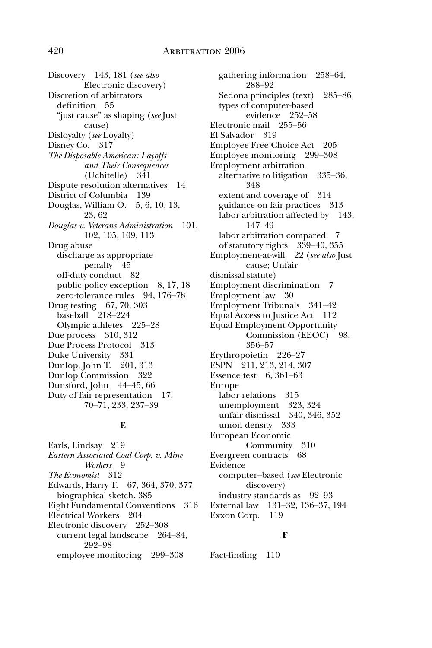Discovery 143, 181 (*see also* Electronic discovery) Discretion of arbitrators definition 55 "just cause" as shaping (*see* Just cause) Disloyalty (*see* Loyalty) Disney Co. 317 *The Disposable American: Layoffs and Their Consequences* (Uchitelle) 341 Dispute resolution alternatives 14 District of Columbia 139 Douglas, William O. 5, 6, 10, 13, 23, 62 *Douglas v. Veterans Administration* 101, 102, 105, 109, 113 Drug abuse discharge as appropriate penalty 45 off-duty conduct 82 public policy exception 8, 17, 18 zero-tolerance rules 94, 176–78 Drug testing 67, 70, 303 baseball 218-224 Olympic athletes 225–28 Due process 310, 312 Due Process Protocol 313 Duke University 331 Dunlop, John T. 201, 313 Dunlop Commission 322 Dunsford, John 44–45, 66 Duty of fair representation 17, 70–71, 233, 237–39

#### **E**

Earls, Lindsay 219 *Eastern Associated Coal Corp. v. Mine Workers* 9 *The Economist* 312 Edwards, Harry T. 67, 364, 370, 377 biographical sketch, 385 Eight Fundamental Conventions 316 Electrical Workers 204 Electronic discovery 252–308 current legal landscape 264–84, 292–98 employee monitoring 299–308

gathering information 258–64, 288–92 Sedona principles (text) 285–86 types of computer-based evidence 252–58 Electronic mail 255–56 El Salvador 319 Employee Free Choice Act 205 Employee monitoring 299–308 Employment arbitration alternative to litigation 335–36, 348 extent and coverage of 314 guidance on fair practices 313 labor arbitration affected by 143, 147–49 labor arbitration compared 7 of statutory rights 339–40, 355 Employment-at-will 22 (*see also* Just cause; Unfair dismissal statute) Employment discrimination 7 Employment law 30 Employment Tribunals 341–42 Equal Access to Justice Act 112 Equal Employment Opportunity Commission (EEOC) 98, 356–57 Erythropoietin 226–27 ESPN 211, 213, 214, 307 Essence test 6, 361–63 Europe labor relations 315 unemployment 323, 324 unfair dismissal 340, 346, 352 union density 333 European Economic Community 310 Evergreen contracts 68 Evidence computer–based (*see* Electronic discovery) industry standards as 92–93 External law 131–32, 136–37, 194 Exxon Corp. 119

#### **F**

Fact-finding 110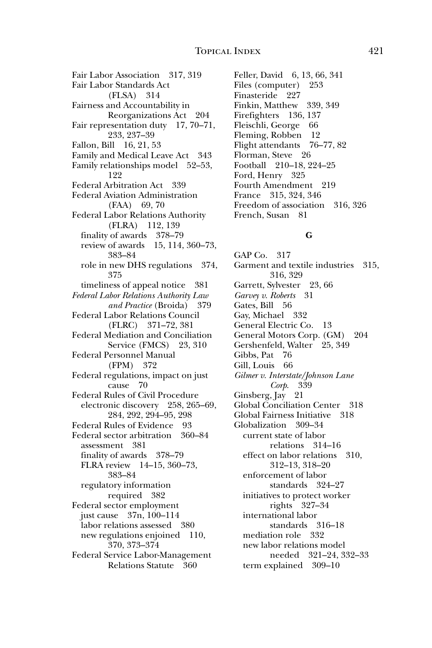Fair Labor Association 317, 319 Fair Labor Standards Act (FLSA) 314 Fairness and Accountability in Reorganizations Act 204 Fair representation duty 17, 70–71, 233, 237–39 Fallon, Bill 16, 21, 53 Family and Medical Leave Act 343 Family relationships model 52–53, 122 Federal Arbitration Act 339 Federal Aviation Administration (FAA) 69, 70 Federal Labor Relations Authority (FLRA) 112, 139 finality of awards 378–79 review of awards 15, 114, 360–73, 383–84 role in new DHS regulations 374, 375 timeliness of appeal notice 381 *Federal Labor Relations Authority Law and Practice* (Broida) 379 Federal Labor Relations Council (FLRC) 371–72, 381 Federal Mediation and Conciliation Service (FMCS) 23, 310 Federal Personnel Manual (FPM) 372 Federal regulations, impact on just cause 70 Federal Rules of Civil Procedure electronic discovery 258, 265–69, 284, 292, 294–95, 298 Federal Rules of Evidence 93 Federal sector arbitration 360–84 assessment 381 finality of awards 378–79 FLRA review 14–15, 360–73, 383–84 regulatory information required 382 Federal sector employment just cause 37n, 100–114 labor relations assessed 380 new regulations enjoined 110, 370, 373–374 Federal Service Labor-Management Relations Statute 360

Feller, David 6, 13, 66, 341 Files (computer) 253 Finasteride 227 Finkin, Matthew 339, 349 Firefighters 136, 137 Fleischli, George 66 Fleming, Robben 12 Flight attendants 76–77, 82 Florman, Steve 26 Football 210–18, 224–25 Ford, Henry 325 Fourth Amendment 219 France 315, 324, 346 Freedom of association 316, 326 French, Susan 81

# **G**

GAP Co. 317 Garment and textile industries 315, 316, 329 Garrett, Sylvester 23, 66 *Garvey v. Roberts* 31 Gates, Bill 56 Gay, Michael 332 General Electric Co. 13 General Motors Corp. (GM) 204 Gershenfeld, Walter 25, 349 Gibbs, Pat 76 Gill, Louis 66 *Gilmer v. Interstate/Johnson Lane Corp*. 339 Ginsberg, Jay 21 Global Conciliation Center 318 Global Fairness Initiative 318 Globalization 309–34 current state of labor relations 314–16 effect on labor relations 310, 312–13, 318–20 enforcement of labor standards 324–27 initiatives to protect worker rights 327–34 international labor standards 316–18 mediation role 332 new labor relations model needed 321–24, 332–33 term explained 309–10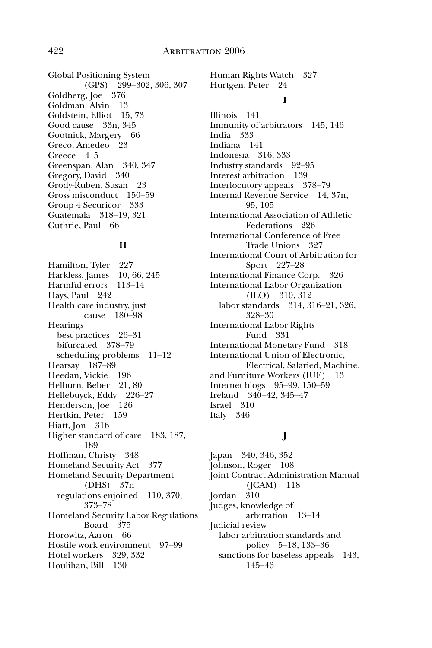Global Positioning System (GPS) 299–302, 306, 307 Goldberg, Joe 376 Goldman, Alvin 13 Goldstein, Elliot 15, 73 Good cause 33n, 345 Gootnick, Margery 66 Greco, Amedeo 23 Greece 4–5 Greenspan, Alan 340, 347 Gregory, David 340 Grody-Ruben, Susan 23 Gross misconduct 150–59 Group 4 Securicor 333 Guatemala 318–19, 321 Guthrie, Paul 66

#### **H**

Hamilton, Tyler 227 Harkless, James 10, 66, 245 Harmful errors 113–14 Hays, Paul 242 Health care industry, just cause 180–98 **Hearings** best practices 26–31 bifurcated 378–79 scheduling problems 11–12 Hearsay 187–89 Heedan, Vickie 196 Helburn, Beber 21, 80 Hellebuyck, Eddy 226–27 Henderson, Joe 126 Hertkin, Peter 159 Hiatt, Jon 316 Higher standard of care 183, 187, 189 Hoffman, Christy 348 Homeland Security Act 377 Homeland Security Department (DHS) 37n regulations enjoined 110, 370, 373–78 Homeland Security Labor Regulations Board 375 Horowitz, Aaron 66 Hostile work environment 97–99 Hotel workers 329, 332 Houlihan, Bill 130

Human Rights Watch 327 Hurtgen, Peter 24

#### **I**

Illinois 141 Immunity of arbitrators 145, 146 India 333 Indiana 141 Indonesia 316, 333 Industry standards 92–95 Interest arbitration 139 Interlocutory appeals 378–79 Internal Revenue Service 14, 37n, 95, 105 International Association of Athletic Federations 226 International Conference of Free Trade Unions 327 International Court of Arbitration for Sport 227–28 International Finance Corp. 326 International Labor Organization (ILO) 310, 312 labor standards 314, 316–21, 326, 328–30 International Labor Rights Fund 331 International Monetary Fund 318 International Union of Electronic, Electrical, Salaried, Machine, and Furniture Workers (IUE) 13 Internet blogs 95–99, 150–59 Ireland 340–42, 345–47 Israel 310 Italy 346

# **J**

Japan 340, 346, 352 Johnson, Roger 108 Joint Contract Administration Manual (JCAM) 118 Jordan 310 Judges, knowledge of arbitration 13–14 Judicial review labor arbitration standards and policy 5–18, 133–36 sanctions for baseless appeals 143, 145–46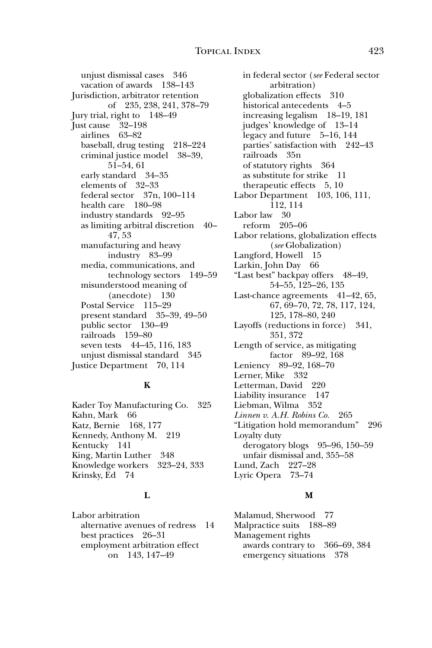unjust dismissal cases 346 vacation of awards 138–143 Jurisdiction, arbitrator retention of 235, 238, 241, 378–79 Jury trial, right to 148–49 Just cause 32–198 airlines 63–82 baseball, drug testing 218–224 criminal justice model 38–39, 51–54, 61 early standard 34–35 elements of 32–33 federal sector 37n, 100–114 health care 180–98 industry standards 92–95 as limiting arbitral discretion 40– 47, 53 manufacturing and heavy industry 83–99 media, communications, and technology sectors 149–59 misunderstood meaning of (anecdote) 130 Postal Service 115–29 present standard 35–39, 49–50 public sector 130–49 railroads 159–80 seven tests 44–45, 116, 183 unjust dismissal standard 345 Justice Department 70, 114

# **K**

Kader Toy Manufacturing Co. 325 Kahn, Mark 66 Katz, Bernie 168, 177 Kennedy, Anthony M. 219 Kentucky 141 King, Martin Luther 348 Knowledge workers 323–24, 333 Krinsky, Ed 74

# **L**

Labor arbitration alternative avenues of redress 14 best practices 26–31 employment arbitration effect on 143, 147–49

in federal sector (*see* Federal sector arbitration) globalization effects 310 historical antecedents 4–5 increasing legalism 18–19, 181 judges' knowledge of 13–14 legacy and future 5–16, 144 parties' satisfaction with 242–43 railroads 35n of statutory rights 364 as substitute for strike 11 therapeutic effects 5, 10 Labor Department 103, 106, 111, 112, 114 Labor law 30 reform 205–06 Labor relations, globalization effects (*see* Globalization) Langford, Howell 15 Larkin, John Day 66 "Last best" backpay offers 48–49, 54–55, 125–26, 135 Last-chance agreements 41–42, 65, 67, 69–70, 72, 78, 117, 124, 125, 178–80, 240 Layoffs (reductions in force) 341, 351, 372 Length of service, as mitigating factor 89–92, 168 Leniency 89–92, 168–70 Lerner, Mike 332 Letterman, David 220 Liability insurance 147 Liebman, Wilma 352 *Linnen v. A.H. Robins Co.* 265 "Litigation hold memorandum" 296 Loyalty duty derogatory blogs 95–96, 150–59 unfair dismissal and, 355–58 Lund, Zach 227–28 Lyric Opera 73–74

# **M**

Malamud, Sherwood 77 Malpractice suits 188–89 Management rights awards contrary to 366–69, 384 emergency situations 378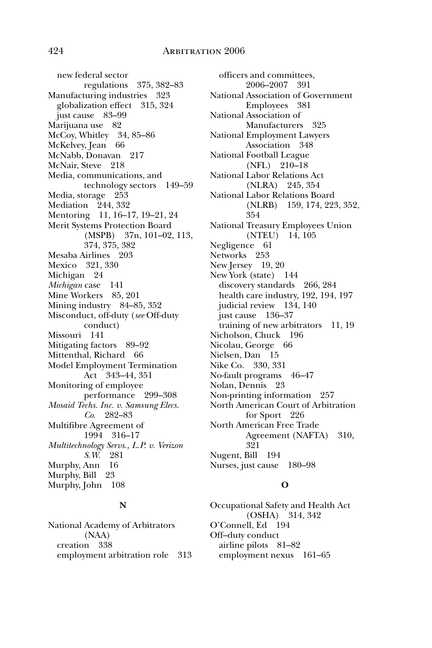new federal sector regulations 375, 382–83 Manufacturing industries 323 globalization effect 315, 324 just cause 83–99 Marijuana use 82 McCoy, Whitley 34, 85–86 McKelvey, Jean 66 McNabb, Donavan 217 McNair, Steve 218 Media, communications, and technology sectors 149–59 Media, storage 253 Mediation 244, 332 Mentoring 11, 16–17, 19–21, 24 Merit Systems Protection Board (MSPB) 37n, 101–02, 113, 374, 375, 382 Mesaba Airlines 203 Mexico 321, 330 Michigan 24 *Michigan* case 141 Mine Workers 85, 201 Mining industry 84–85, 352 Misconduct, off-duty (*see* Off-duty conduct) Missouri 141 Mitigating factors 89–92 Mittenthal, Richard 66 Model Employment Termination Act 343–44, 351 Monitoring of employee performance 299–308 *Mosaid Techs. Inc. v. Samsung Elecs. Co*. 282–83 Multifibre Agreement of 1994 316–17 *Multitechnology Servs., L.P. v. Verizon S.W*. 281 Murphy, Ann 16 Murphy, Bill 23 Murphy, John 108

#### **N**

National Academy of Arbitrators (NAA) creation 338 employment arbitration role 313

officers and committees, 2006–2007 391 National Association of Government Employees 381 National Association of Manufacturers 325 National Employment Lawyers Association 348 National Football League (NFL) 210–18 National Labor Relations Act (NLRA) 245, 354 National Labor Relations Board (NLRB) 159, 174, 223, 352, 354 National Treasury Employees Union (NTEU) 14, 105 Negligence 61 Networks 253 New Jersey 19, 20 New York (state) 144 discovery standards 266, 284 health care industry, 192, 194, 197 judicial review 134, 140 just cause 136–37 training of new arbitrators 11, 19 Nicholson, Chuck 196 Nicolau, George 66 Nielsen, Dan 15 Nike Co. 330, 331 No-fault programs 46–47 Nolan, Dennis 23 Non-printing information 257 North American Court of Arbitration for Sport 226 North American Free Trade Agreement (NAFTA) 310, 321 Nugent, Bill 194 Nurses, just cause 180–98

# **O**

Occupational Safety and Health Act (OSHA) 314, 342 O'Connell, Ed 194 Off–duty conduct airline pilots 81–82 employment nexus 161–65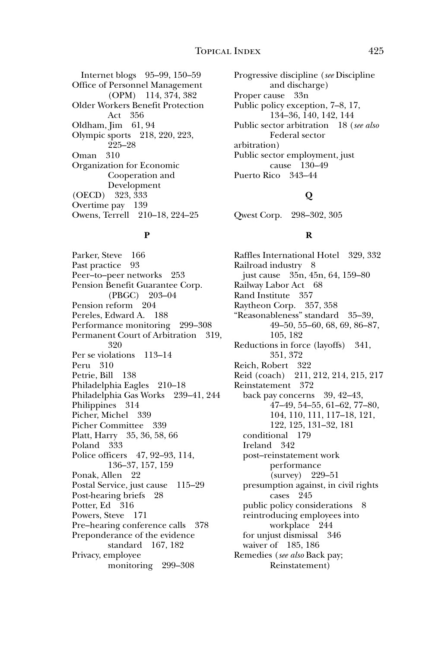Internet blogs 95–99, 150–59 Office of Personnel Management (OPM) 114, 374, 382 Older Workers Benefit Protection Act 356 Oldham, Jim 61, 94 Olympic sports 218, 220, 223, 225–28 Oman 310 Organization for Economic Cooperation and Development (OECD) 323, 333 Overtime pay 139 Owens, Terrell 210–18, 224–25

#### **P**

Parker, Steve 166 Past practice 93 Peer–to–peer networks 253 Pension Benefit Guarantee Corp. (PBGC) 203–04 Pension reform 204 Pereles, Edward A. 188 Performance monitoring 299–308 Permanent Court of Arbitration 319, 320 Per se violations 113–14 Peru 310 Petrie, Bill 138 Philadelphia Eagles 210–18 Philadelphia Gas Works 239–41, 244 Philippines 314 Picher, Michel 339 Picher Committee 339 Platt, Harry 35, 36, 58, 66 Poland 333 Police officers 47, 92–93, 114, 136–37, 157, 159 Ponak, Allen 22 Postal Service, just cause 115–29 Post-hearing briefs 28 Potter, Ed 316 Powers, Steve 171 Pre–hearing conference calls 378 Preponderance of the evidence standard 167, 182 Privacy, employee monitoring 299–308

Progressive discipline (*see* Discipline and discharge) Proper cause 33n Public policy exception, 7–8, 17, 134–36, 140, 142, 144 Public sector arbitration 18 (*see also* Federal sector arbitration) Public sector employment, just cause 130–49 Puerto Rico 343–44

# **Q**

Qwest Corp. 298–302, 305

# **R**

Raffles International Hotel 329, 332 Railroad industry 8 just cause 35n, 45n, 64, 159–80 Railway Labor Act 68 Rand Institute 357 Raytheon Corp. 357, 358 "Reasonableness" standard 35–39, 49–50, 55–60, 68, 69, 86–87, 105, 182 Reductions in force (layoffs) 341, 351, 372 Reich, Robert 322 Reid (coach) 211, 212, 214, 215, 217 Reinstatement 372 back pay concerns 39, 42–43, 47–49, 54–55, 61–62, 77–80, 104, 110, 111, 117–18, 121, 122, 125, 131–32, 181 conditional 179 Ireland 342 post–reinstatement work performance (survey) 229–51 presumption against, in civil rights cases 245 public policy considerations 8 reintroducing employees into workplace 244 for unjust dismissal 346 waiver of 185, 186 Remedies (*see also* Back pay; Reinstatement)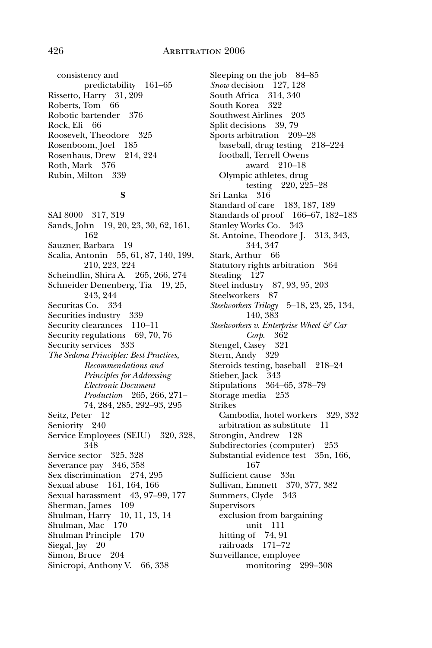consistency and predictability 161–65 Rissetto, Harry 31, 209 Roberts, Tom 66 Robotic bartender 376 Rock, Eli 66 Roosevelt, Theodore 325 Rosenboom, Joel 185 Rosenhaus, Drew 214, 224 Roth, Mark 376 Rubin, Milton 339

#### **S**

SAI 8000 317, 319 Sands, John 19, 20, 23, 30, 62, 161, 162 Sauzner, Barbara 19 Scalia, Antonin 55, 61, 87, 140, 199, 210, 223, 224 Scheindlin, Shira A. 265, 266, 274 Schneider Denenberg, Tia 19, 25, 243, 244 Securitas Co. 334 Securities industry 339 Security clearances 110–11 Security regulations 69, 70, 76 Security services 333 *The Sedona Principles: Best Practices, Recommendations and Principles for Addressing Electronic Document Production* 265, 266, 271– 74, 284, 285, 292–93, 295 Seitz, Peter 12 Seniority 240 Service Employees (SEIU) 320, 328, 348 Service sector 325, 328 Severance pay 346, 358 Sex discrimination 274, 295 Sexual abuse 161, 164, 166 Sexual harassment 43, 97–99, 177 Sherman, James 109 Shulman, Harry 10, 11, 13, 14 Shulman, Mac 170 Shulman Principle 170 Siegal, Jay 20 Simon, Bruce 204 Sinicropi, Anthony V. 66, 338

Sleeping on the job 84–85 *Snow* decision 127, 128 South Africa 314, 340 South Korea 322 Southwest Airlines 203 Split decisions 39, 79 Sports arbitration 209–28 baseball, drug testing 218–224 football, Terrell Owens award 210–18 Olympic athletes, drug testing 220, 225–28 Sri Lanka 316 Standard of care 183, 187, 189 Standards of proof 166–67, 182–183 Stanley Works Co. 343 St. Antoine, Theodore J. 313, 343, 344, 347 Stark, Arthur 66 Statutory rights arbitration 364 Stealing 127 Steel industry 87, 93, 95, 203 Steelworkers 87 *Steelworkers Trilogy* 5–18, 23, 25, 134, 140, 383 *Steelworkers v. Enterprise Wheel & Car Corp*. 362 Stengel, Casey 321 Stern, Andy 329 Steroids testing, baseball 218–24 Stieber, Jack 343 Stipulations 364–65, 378–79 Storage media 253 Strikes Cambodia, hotel workers 329, 332 arbitration as substitute 11 Strongin, Andrew 128 Subdirectories (computer) 253 Substantial evidence test 35n, 166, 167 Sufficient cause 33n Sullivan, Emmett 370, 377, 382 Summers, Clyde 343 **Supervisors** exclusion from bargaining unit 111 hitting of 74, 91 railroads 171–72 Surveillance, employee monitoring 299–308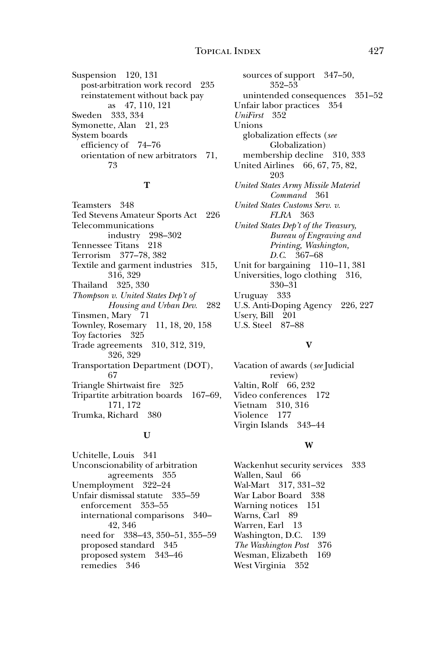Suspension 120, 131 post-arbitration work record 235 reinstatement without back pay as 47, 110, 121 Sweden 333, 334 Symonette, Alan 21, 23 System boards efficiency of 74–76 orientation of new arbitrators 71, 73

## **T**

Teamsters 348 Ted Stevens Amateur Sports Act 226 Telecommunications industry 298–302 Tennessee Titans 218 Terrorism 377–78, 382 Textile and garment industries 315, 316, 329 Thailand 325, 330 *Thompson v. United States Dep't of Housing and Urban Dev.* 282 Tinsmen, Mary 71 Townley, Rosemary 11, 18, 20, 158 Toy factories 325 Trade agreements 310, 312, 319, 326, 329 Transportation Department (DOT), 67 Triangle Shirtwaist fire 325 Tripartite arbitration boards 167–69, 171, 172 Trumka, Richard 380

#### **U**

Uchitelle, Louis 341 Unconscionability of arbitration agreements 355 Unemployment 322–24 Unfair dismissal statute 335–59 enforcement 353–55 international comparisons 340– 42, 346 need for 338–43, 350–51, 355–59 proposed standard 345 proposed system 343–46 remedies 346

sources of support 347–50, 352–53 unintended consequences 351–52 Unfair labor practices 354 *UniFirst* 352 Unions globalization effects (*see* Globalization) membership decline 310, 333 United Airlines 66, 67, 75, 82, 203 *United States Army Missile Materiel Command* 361 *United States Customs Serv. v. FLRA* 363 *United States Dep't of the Treasury, Bureau of Engraving and Printing, Washington, D.C*. 367–68 Unit for bargaining 110–11, 381 Universities, logo clothing 316, 330–31 Uruguay 333 U.S. Anti-Doping Agency 226, 227 Usery, Bill 201 U.S. Steel 87–88

# **V**

Vacation of awards (*see* Judicial review) Valtin, Rolf 66, 232 Video conferences 172 Vietnam 310, 316 Violence 177 Virgin Islands 343–44

#### **W**

Wackenhut security services 333 Wallen, Saul 66 Wal-Mart 317, 331–32 War Labor Board 338 Warning notices 151 Warns, Carl 89 Warren, Earl 13 Washington, D.C. 139 *The Washington Post* 376 Wesman, Elizabeth 169 West Virginia 352